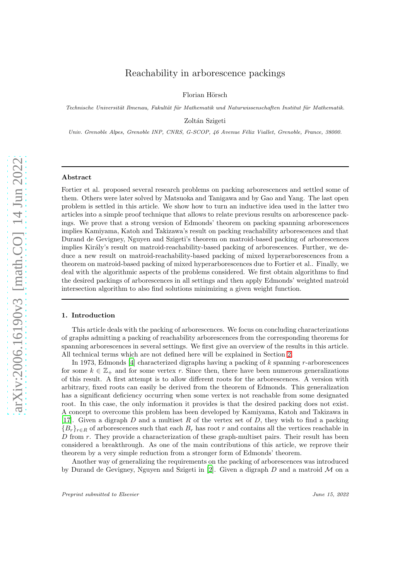# Reachability in arborescence packings

Florian Hörsch

Technische Universität Ilmenau, Fakultät für Mathematik und Naturwissenschaften Institut für Mathematik.

Zoltán Szigeti

Univ. Grenoble Alpes, Grenoble INP, CNRS, G-SCOP, 46 Avenue Félix Viallet, Grenoble, France, 38000.

# Abstract

Fortier et al. proposed several research problems on packing arborescences and settled some of them. Others were later solved by Matsuoka and Tanigawa and by Gao and Yang. The last open problem is settled in this article. We show how to turn an inductive idea used in the latter two articles into a simple proof technique that allows to relate previous results on arborescence packings. We prove that a strong version of Edmonds' theorem on packing spanning arborescences implies Kamiyama, Katoh and Takizawa's result on packing reachability arborescences and that Durand de Gevigney, Nguyen and Szigeti's theorem on matroid-based packing of arborescences implies Király's result on matroid-reachability-based packing of arborescences. Further, we deduce a new result on matroid-reachability-based packing of mixed hyperarborescences from a theorem on matroid-based packing of mixed hyperarborescences due to Fortier et al.. Finally, we deal with the algorithmic aspects of the problems considered. We first obtain algorithms to find the desired packings of arborescences in all settings and then apply Edmonds' weighted matroid intersection algorithm to also find solutions minimizing a given weight function.

# 1. Introduction

This article deals with the packing of arborescences. We focus on concluding characterizations of graphs admitting a packing of reachability arborescences from the corresponding theorems for spanning arborescences in several settings. We first give an overview of the results in this article. All technical terms which are not defined here will be explained in Section [2.](#page-1-0)

In 1973, Edmonds [\[4\]](#page-18-0) characterized digraphs having a packing of  $k$  spanning r-arborescences for some  $k \in \mathbb{Z}_+$  and for some vertex r. Since then, there have been numerous generalizations of this result. A first attempt is to allow different roots for the arborescences. A version with arbitrary, fixed roots can easily be derived from the theorem of Edmonds. This generalization has a significant deficiency occurring when some vertex is not reachable from some designated root. In this case, the only information it provides is that the desired packing does not exist. A concept to overcome this problem has been developed by Kamiyama, Katoh and Takizawa in [\[17](#page-18-1)]. Given a digraph  $D$  and a multiset  $R$  of the vertex set of  $D$ , they wish to find a packing  ${B_r}_{r\in R}$  of arborescences such that each  $B_r$  has root r and contains all the vertices reachable in  $D$  from  $r$ . They provide a characterization of these graph-multiset pairs. Their result has been considered a breakthrough. As one of the main contributions of this article, we reprove their theorem by a very simple reduction from a stronger form of Edmonds' theorem.

Another way of generalizing the requirements on the packing of arborescences was introduced by Durand de Gevigney, Nguyen and Szigeti in [\[2\]](#page-17-0). Given a digraph  $D$  and a matroid  $M$  on a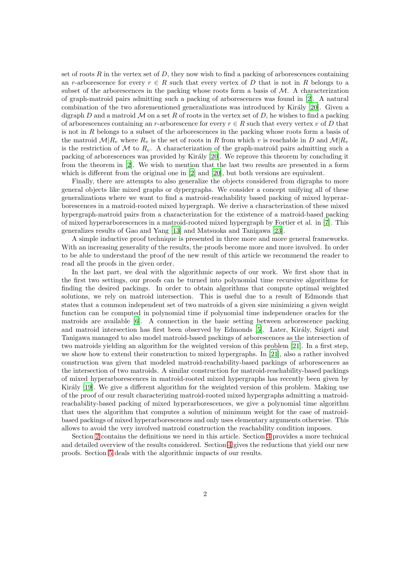set of roots  $R$  in the vertex set of  $D$ , they now wish to find a packing of arborescences containing an r-arborescence for every  $r \in R$  such that every vertex of D that is not in R belongs to a subset of the arborescences in the packing whose roots form a basis of  $M$ . A characterization of graph-matroid pairs admitting such a packing of arborescences was found in [\[2](#page-17-0)]. A natural combination of the two aforementioned generalizations was introduced by Király [\[20\]](#page-18-2). Given a digraph D and a matroid  $\mathcal M$  on a set R of roots in the vertex set of D, he wishes to find a packing of arborescences containing an r-arborescence for every  $r \in R$  such that every vertex v of D that is not in  $R$  belongs to a subset of the arborescences in the packing whose roots form a basis of the matroid  $\mathcal{M}|R_v$  where  $R_v$  is the set of roots in R from which v is reachable in D and  $\mathcal{M}|R_v$ is the restriction of M to  $R_v$ . A characterization of the graph-matroid pairs admitting such a packing of arborescences was provided by Király  $[20]$ . We reprove this theorem by concluding it from the theorem in [\[2\]](#page-17-0). We wish to mention that the last two results are presented in a form which is different from the original one in [\[2\]](#page-17-0) and [\[20\]](#page-18-2), but both versions are equivalent.

Finally, there are attempts to also generalize the objects considered from digraphs to more general objects like mixed graphs or dypergraphs. We consider a concept unifying all of these generalizations where we want to find a matroid-reachability based packing of mixed hyperarborescences in a matroid-rooted mixed hypergraph. We derive a characterization of these mixed hypergraph-matroid pairs from a characterization for the existence of a matroid-based packing of mixed hyperarborescences in a matroid-rooted mixed hypergraph by Fortier et al. in [\[7\]](#page-18-3). This generalizes results of Gao and Yang [\[13\]](#page-18-4) and Matsuoka and Tanigawa [\[23\]](#page-19-0).

A simple inductive proof technique is presented in three more and more general frameworks. With an increasing generality of the results, the proofs become more and more involved. In order to be able to understand the proof of the new result of this article we recommend the reader to read all the proofs in the given order.

In the last part, we deal with the algorithmic aspects of our work. We first show that in the first two settings, our proofs can be turned into polynomial time recursive algorithms for finding the desired packings. In order to obtain algorithms that compute optimal weighted solutions, we rely on matroid intersection. This is useful due to a result of Edmonds that states that a common independent set of two matroids of a given size minimizing a given weight function can be computed in polynomial time if polynomial time independence oracles for the matroids are available [\[6\]](#page-18-5). A connection in the basic setting between arborescence packing and matroid intersection has first been observed by Edmonds [\[5](#page-18-6)]. Later, Király, Szigeti and Tanigawa managed to also model matroid-based packings of arborescences as the intersection of two matroids yielding an algorithm for the weighted version of this problem [\[21\]](#page-18-7). In a first step, we show how to extend their construction to mixed hypergraphs. In [\[21](#page-18-7)], also a rather involved construction was given that modeled matroid-reachability-based packings of arborescences as the intersection of two matroids. A similar construction for matroid-reachability-based packings of mixed hyperarborescences in matroid-rooted mixed hypergraphs has recently been given by Király [\[19\]](#page-18-8). We give a different algorithm for the weighted version of this problem. Making use of the proof of our result characterizing matroid-rooted mixed hypergraphs admitting a matroidreachability-based packing of mixed hyperarborescences, we give a polynomial time algorithm that uses the algorithm that computes a solution of minimum weight for the case of matroidbased packings of mixed hyperarborescences and only uses elementary arguments otherwise. This allows to avoid the very involved matroid construction the reachability condition imposes.

<span id="page-1-0"></span>Section [2](#page-1-0) contains the definitions we need in this article. Section [3](#page-4-0) provides a more technical and detailed overview of the results considered. Section [4](#page-7-0) gives the reductions that yield our new proofs. Section [5](#page-12-0) deals with the algorithmic impacts of our results.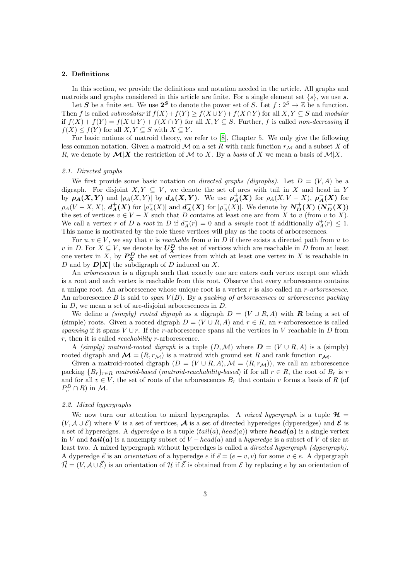### 2. Definitions

In this section, we provide the definitions and notation needed in the article. All graphs and matroids and graphs considered in this article are finite. For a single element set  $\{s\}$ , we use s.

Let S be a finite set. We use  $2^S$  to denote the power set of S. Let  $f: 2^S \to \mathbb{Z}$  be a function. Then f is called *submodular* if  $f(X) + f(Y) \ge f(X \cup Y) + f(X \cap Y)$  for all  $X, Y \subseteq S$  and *modular* if  $f(X) + f(Y) = f(X \cup Y) + f(X \cap Y)$  for all  $X, Y \subseteq S$ . Further, f is called *non-decreasing* if  $f(X) \leq f(Y)$  for all  $X, Y \subseteq S$  with  $X \subseteq Y$ .

For basic notions of matroid theory, we refer to [\[8](#page-18-9)], Chapter 5. We only give the following less common notation. Given a matroid M on a set R with rank function  $r_{\mathcal{M}}$  and a subset X of R, we denote by  $\mathcal{M}|X$  the restriction of M to X. By a *basis* of X we mean a basis of  $M|X$ .

#### *2.1. Directed graphs*

We first provide some basic notation on *directed graphs (digraphs)*. Let  $D = (V, A)$  be a digraph. For disjoint  $X, Y \subseteq V$ , we denote the set of arcs with tail in X and head in Y by  $\rho_A(X, Y)$  and  $|\rho_A(X, Y)|$  by  $d_A(X, Y)$ . We use  $\rho_A^+(X)$  for  $\rho_A(X, V - X)$ ,  $\rho_A^-(X)$  for  $\rho_A(V-X,X), d^{\dagger}_A(X)$  for  $|\rho^+_A(X)|$  and  $d^-_A(X)$  for  $|\rho^-_A(X)|$ . We denote by  $N^+_D(X)$   $(N^-_D(X))$ the set of vertices  $v \in V - X$  such that D contains at least one arc from X to v (from v to X). We call a vertex r of D a root in D if  $d_A^-(r) = 0$  and a *simple* root if additionally  $d_A^+(r) \leq 1$ . This name is motivated by the role these vertices will play as the roots of arborescences.

For  $u, v \in V$ , we say that v is *reachable* from u in D if there exists a directed path from u to v in D. For  $X \subseteq V$ , we denote by  $U_X^D$  the set of vertices which are reachable in D from at least one vertex in X, by  $P_X^D$  the set of vertices from which at least one vertex in X is reachable in D and by  $D[X]$  the subdigraph of D induced on X.

An *arborescence* is a digraph such that exactly one arc enters each vertex except one which is a root and each vertex is reachable from this root. Observe that every arborescence contains a unique root. An arborescence whose unique root is a vertex r is also called an r*-arborescence*. An arborescence B is said to *span*  $V(B)$ . By a *packing of arborescences* or *arborescence packing* in D, we mean a set of arc-disjoint arborescences in D.

We define a *(simply) rooted digraph* as a digraph  $D = (V \cup R, A)$  with **R** being a set of (simple) roots. Given a rooted digraph  $D = (V \cup R, A)$  and  $r \in R$ , an r-arborescence is called *spanning* if it spans  $V \cup r$ . If the r-arborescence spans all the vertices in V reachable in D from r, then it is called *reachability* r-arborescence.

A *(simply) matroid-rooted digraph* is a tuple  $(D, \mathcal{M})$  where  $D = (V \cup R, A)$  is a *(simply)* rooted digraph and  $\mathcal{M} = (R, r_{\mathcal{M}})$  is a matroid with ground set R and rank function  $r_{\mathcal{M}}$ .

Given a matroid-rooted digraph  $(D = (V \cup R, A), \mathcal{M} = (R, r_{\mathcal{M}}))$ , we call an arborescence packing  ${B_r}_{r \in R}$  *matroid-based* (*matroid-reachability-based*) if for all  $r \in R$ , the root of  $B_r$  is r and for all  $v \in V$ , the set of roots of the arborescences  $B_r$  that contain v forms a basis of R (of  $P_v^D \cap R$ ) in M.

# *2.2. Mixed hypergraphs*

We now turn our attention to mixed hypergraphs. A *mixed hypergraph* is a tuple  $\mathcal{H} =$  $(V, \mathcal{A} \cup \mathcal{E})$  where V is a set of vertices,  $\mathcal{A}$  is a set of directed hyperedges (dyperedges) and  $\mathcal{E}$  is a set of hyperedges. A *dyperedge* a is a tuple  $(tail(a), head(a))$  where **head(a)** is a single vertex in V and  $tail(a)$  is a nonempty subset of  $V$  – head(a) and a hyperedge is a subset of V of size at least two. A mixed hypergraph without hyperedges is called a *directed hypergraph (dypergraph)*. A dyperedge  $\vec{e}$  is an *orientation* of a hyperedge  $e$  if  $\vec{e} = (e - v, v)$  for some  $v \in e$ . A dypergraph  $\vec{\mathcal{H}} = (V, \mathcal{A} \cup \vec{\mathcal{E}})$  is an orientation of H if  $\vec{\mathcal{E}}$  is obtained from  $\mathcal{E}$  by replacing e by an orientation of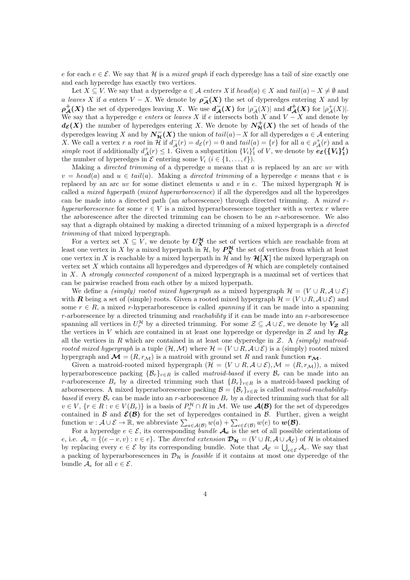e for each  $e \in \mathcal{E}$ . We say that H is a *mixed graph* if each dyperedge has a tail of size exactly one and each hyperedge has exactly two vertices.

Let  $X \subseteq V$ . We say that a dyperedge  $a \in \mathcal{A}$  *enters* X if  $head(a) \in X$  and  $tail(a) - X \neq \emptyset$  and a *leaves* X if a enters  $V - X$ . We denote by  $\rho_{\mathcal{A}}(X)$  the set of dyperedges entering X and by  $\rho^+_{\mathcal{A}}(X)$  the set of dyperedges leaving X. We use  $d^-_{\mathcal{A}}(X)$  for  $|\rho^-_{\mathcal{A}}(X)|$  and  $d^+_{\mathcal{A}}(X)$  for  $|\rho^+_{\mathcal{A}}(X)|$ . We say that a hyperedge *e enters* or *leaves* X if e intersects both X and  $V - X$  and denote by  $d_{\mathcal{E}}(X)$  the number of hyperedges entering X. We denote by  $N^+_{\mathcal{H}}(X)$  the set of heads of the dyperedges leaving X and by  $N_{\mathcal{H}}^-(X)$  the union of  $tail(a) - X$  for all dyperedges  $a \in \mathcal{A}$  entering X. We call a vertex r a root in  $\mathcal{H}$  if  $d_{\mathcal{A}}(r) = d_{\mathcal{E}}(r) = 0$  and  $tail(a) = \{r\}$  for all  $a \in \rho_{\mathcal{A}}^+(r)$  and a simple root if additionally  $d^+_{\mathcal{A}}(r) \leq 1$ . Given a subpartition  $\{V_i\}^{\ell}_1$  of V, we denote by  $e_{\mathcal{E}}(\{V_i\}^{\ell}_1)$ the number of hyperedges in  $\mathcal E$  entering some  $V_i$   $(i \in \{1, \ldots, \ell\})$ .

Making a *directed trimming* of a dyperedge a means that a is replaced by an arc uv with  $v = head(a)$  and  $u \in tail(a)$ . Making a *directed trimming* of a hyperedge e means that e is replaced by an arc uv for some distinct elements u and v in e. The mixed hypergraph  $\mathcal{H}$  is called a *mixed hyperpath* (*mixed hyperarborescence*) if all the dyperedges and all the hyperedges can be made into a directed path (an arborescence) through directed trimming. A *mixed* r*hyperarborescence* for some  $r \in V$  is a mixed hyperarborescence together with a vertex r where the arborescence after the directed trimming can be chosen to be an  $r$ -arborescence. We also say that a digraph obtained by making a directed trimming of a mixed hypergraph is a *directed trimming* of that mixed hypergraph.

For a vertex set  $X \subseteq V$ , we denote by  $U_X^{\mathcal{H}}$  the set of vertices which are reachable from at least one vertex in X by a mixed hyperpath in  $\mathcal{H}$ , by  $P_X^{\mathcal{H}}$  the set of vertices from which at least one vertex in X is reachable by a mixed hyperpath in  $\mathcal{H}$  and by  $\mathcal{H}[X]$  the mixed hypergraph on vertex set  $X$  which contains all hyperedges and dyperedges of  $H$  which are completely contained in X. A *strongly connected component* of a mixed hypergraph is a maximal set of vertices that can be pairwise reached from each other by a mixed hyperpath.

We define a *(simply) rooted mixed hypergraph* as a mixed hypergraph  $\mathcal{H} = (V \cup R, \mathcal{A} \cup \mathcal{E})$ with R being a set of (simple) roots. Given a rooted mixed hypergraph  $\mathcal{H} = (V \cup R, \mathcal{A} \cup \mathcal{E})$  and some  $r \in R$ , a mixed r-hyperarborescence is called *spanning* if it can be made into a spanning r-arborescence by a directed trimming and *reachability* if it can be made into an r-arborescence spanning all vertices in  $U_r^{\mathcal{H}}$  by a directed trimming. For some  $\mathcal{Z} \subseteq \mathcal{A} \cup \mathcal{E}$ , we denote by  $V_{\mathcal{Z}}$  all the vertices in V which are contained in at least one hyperedge or dyperedge in  $\mathcal Z$  and by  $\mathbb{R}$ z all the vertices in R which are contained in at least one dyperedge in Z. A *(simply) matroidrooted mixed hypergraph* is a tuple  $(H, \mathcal{M})$  where  $\mathcal{H} = (V \cup R, \mathcal{A} \cup \mathcal{E})$  is a (simply) rooted mixed hypergraph and  $\mathcal{M} = (R, r_{\mathcal{M}})$  is a matroid with ground set R and rank function  $r_{\mathcal{M}}$ .

Given a matroid-rooted mixed hypergraph  $(\mathcal{H} = (V \cup R, \mathcal{A} \cup \mathcal{E}), \mathcal{M} = (R, r_{\mathcal{M}}))$ , a mixed hyperarborescence packing  $\{\mathcal{B}_r\}_{r \in R}$  is called *matroid-based* if every  $\mathcal{B}_r$  can be made into an r-arborescence  $B_r$  by a directed trimming such that  ${B_r}_{r \in R}$  is a matroid-based packing of arborescences. A mixed hyperarborescence packing  $\mathcal{B} = {\mathcal{B}_r}_{r \in R}$  is called *matroid-reachabilitybased* if every  $\mathcal{B}_r$  can be made into an *r*-arborescence  $B_r$  by a directed trimming such that for all  $v \in V$ ,  $\{r \in R : v \in V(B_r)\}\$ is a basis of  $P_v^{\mathcal{H}} \cap R$  in M. We use  $\mathcal{A}(\mathcal{B})$  for the set of dyperedges contained in  $\mathcal{B}$  and  $\mathcal{E}(\mathcal{B})$  for the set of hyperedges contained in  $\mathcal{B}$ . Further, given a weight function  $w: \mathcal{A} \cup \mathcal{E} \to \mathbb{R}$ , we abbreviate  $\sum_{a \in \mathcal{A}(\mathcal{B})} w(a) + \sum_{e \in \mathcal{E}(\mathcal{B})} w(e)$  to  $w(\mathcal{B})$ .

For a hyperedge  $e \in \mathcal{E}$ , its corresponding *bundle*  $\mathcal{A}_e$  is the set of all possible orientations of e, i.e.  $\mathcal{A}_e = \{(e-v, v) : v \in e\}$ . The *directed extension*  $\mathcal{D}_{\mathcal{H}} = (V \cup R, \mathcal{A} \cup \mathcal{A}_{\mathcal{E}})$  of H is obtained by replacing every  $e \in \mathcal{E}$  by its corresponding bundle. Note that  $\mathcal{A}_{\mathcal{E}} = \bigcup_{e \in \mathcal{E}} \mathcal{A}_e$ . We say that a packing of hyperarborescences in  $\mathcal{D}_{\mathcal{H}}$  is *feasible* if it contains at most one dyperedge of the bundle  $A_e$  for all  $e \in \mathcal{E}$ .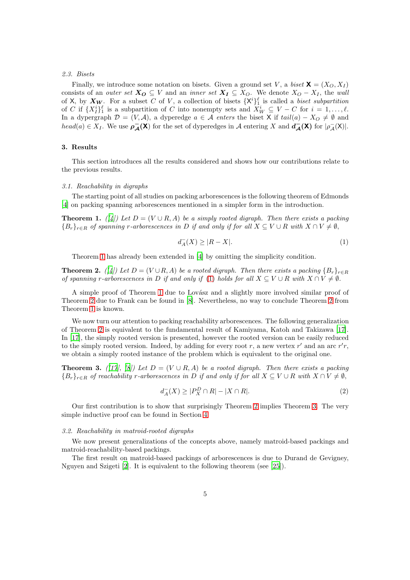#### *2.3. Bisets*

Finally, we introduce some notation on bisets. Given a ground set V, a *biset*  $X = (X_O, X_I)$ consists of an *outer set*  $X_O \subseteq V$  and an *inner set*  $X_I \subseteq X_O$ . We denote  $X_O - X_I$ , the *wall* of X, by  $X_W$ . For a subset C of V, a collection of bisets  $\{X^i\}_{i=1}^{\ell}$  is called a *biset subpartition* of C if  $\{X^i_l\}^{\ell}$  is a subpartition of C into nonempty sets and  $X^i_W \subseteq V - C$  for  $i = 1, \ldots, \ell$ . In a dypergraph  $\mathcal{D} = (V, \mathcal{A})$ , a dyperedge  $a \in \mathcal{A}$  *enters* the biset X if  $tail(a) - X_O \neq \emptyset$  and  $head(a) \in X_I$ . We use  $\rho_{\mathcal{A}}^-(\mathsf{X})$  for the set of dyperedges in A entering X and  $d_{\mathcal{A}}^-(\mathsf{X})$  for  $|\rho_{\mathcal{A}}^-(\mathsf{X})|$ .

# <span id="page-4-0"></span>3. Results

This section introduces all the results considered and shows how our contributions relate to the previous results.

### *3.1. Reachability in digraphs*

The starting point of all studies on packing arborescences is the following theorem of Edmonds [\[4](#page-18-0)] on packing spanning arborescences mentioned in a simpler form in the introduction.

<span id="page-4-1"></span>**Theorem 1.**  $(|4|)$  Let  $D = (V \cup R, A)$  be a simply rooted digraph. Then there exists a packing  ${B_r}_{r \in R}$  *of spanning r-arborescences in* D *if and only if for all*  $X \subseteq V \cup R$  *with*  $X \cap V \neq \emptyset$ ,

<span id="page-4-2"></span>
$$
d_A^-(X) \ge |R - X|.\tag{1}
$$

Theorem [1](#page-4-1) has already been extended in [\[4\]](#page-18-0) by omitting the simplicity condition.

<span id="page-4-3"></span>**Theorem 2.** (/4) Let  $D = (V \cup R, A)$  be a rooted digraph. Then there exists a packing  ${B_r}_{r \in R}$ *of spanning* r-arborescences in D if and only if [\(1\)](#page-4-2) holds for all  $X \subseteq V \cup R$  with  $X \cap V \neq \emptyset$ .

A simple proof of Theorem [1](#page-4-1) due to Lovász and a slightly more involved similar proof of Theorem [2](#page-4-3) due to Frank can be found in [\[8](#page-18-9)]. Nevertheless, no way to conclude Theorem [2](#page-4-3) from Theorem [1](#page-4-1) is known.

We now turn our attention to packing reachability arborescences. The following generalization of Theorem [2](#page-4-3) is equivalent to the fundamental result of Kamiyama, Katoh and Takizawa [\[17\]](#page-18-1). In [\[17](#page-18-1)], the simply rooted version is presented, however the rooted version can be easily reduced to the simply rooted version. Indeed, by adding for every root r, a new vertex  $r'$  and an arc  $r'r$ , we obtain a simply rooted instance of the problem which is equivalent to the original one.

<span id="page-4-4"></span>**Theorem 3.** *(* $[17$ *),*  $[8]$ *)* Let  $D = (V \cup R, A)$  be a rooted digraph. Then there exists a packing  ${B_r}_{r \in R}$  *of reachability r-arborescences in* D *if and only if for all*  $X \subseteq V \cup R$  *with*  $X \cap V \neq \emptyset$ ,

<span id="page-4-5"></span>
$$
d_A^-(X) \ge |P_X^D \cap R| - |X \cap R|.\tag{2}
$$

Our first contribution is to show that surprisingly Theorem [2](#page-4-3) implies Theorem [3.](#page-4-4) The very simple inductive proof can be found in Section [4.](#page-7-0)

#### *3.2. Reachability in matroid-rooted digraphs*

We now present generalizations of the concepts above, namely matroid-based packings and matroid-reachability-based packings.

The first result on matroid-based packings of arborescences is due to Durand de Gevigney, Nguyen and Szigeti [\[2\]](#page-17-0). It is equivalent to the following theorem (see [\[25\]](#page-19-1)).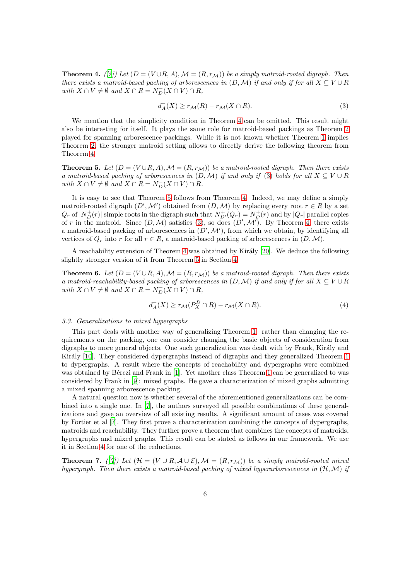<span id="page-5-0"></span>**Theorem 4.** *([\[2](#page-17-0)])* Let  $(D = (V \cup R, A), \mathcal{M} = (R, r_{\mathcal{M}})$  be a simply matroid-rooted digraph. Then *there exists a matroid-based packing of arborescences in*  $(D, \mathcal{M})$  *if and only if for all*  $X \subseteq V \cup R$  $with X \cap V \neq \emptyset \text{ and } X \cap R = N_D^-(X \cap V) \cap R$ ,

<span id="page-5-1"></span>
$$
d_A^-(X) \ge r_{\mathcal{M}}(R) - r_{\mathcal{M}}(X \cap R). \tag{3}
$$

We mention that the simplicity condition in Theorem [4](#page-5-0) can be omitted. This result might also be interesting for itself. It plays the same role for matroid-based packings as Theorem [2](#page-4-3) played for spanning arborescence packings. While it is not known whether Theorem [1](#page-4-1) implies Theorem [2,](#page-4-3) the stronger matroid setting allows to directly derive the following theorem from Theorem [4.](#page-5-0)

<span id="page-5-2"></span>**Theorem 5.** Let  $(D = (V \cup R, A), \mathcal{M} = (R, r_{\mathcal{M}}))$  be a matroid-rooted digraph. Then there exists *a* matroid-based packing of arborescences in  $(D, \mathcal{M})$  if and only if [\(3\)](#page-5-1) holds for all  $X \subseteq V \cup R$ *with*  $X \cap V \neq \emptyset$  *and*  $X \cap R = N_D^-(X \cap V) \cap R$ *.* 

It is easy to see that Theorem [5](#page-5-2) follows from Theorem [4.](#page-5-0) Indeed, we may define a simply matroid-rooted digraph  $(D',\mathcal{M}')$  obtained from  $(D,\mathcal{M})$  by replacing every root  $r \in R$  by a set  $Q_r$  of  $|N_D^+(r)|$  simple roots in the digraph such that  $N_{D'}^+(Q_r) = N_D^+(r)$  and by  $|Q_r|$  parallel copies of r in the matroid. Since  $(D, \mathcal{M})$  satisfies [\(3\)](#page-5-1), so does  $(D', \mathcal{M}')$ . By Theorem [4,](#page-5-0) there exists a matroid-based packing of arborescences in  $(D', \mathcal{M}')$ , from which we obtain, by identifying all vertices of  $Q_r$  into r for all  $r \in R$ , a matroid-based packing of arborescences in  $(D, \mathcal{M})$ .

A reachability extension of Theorem [4](#page-5-0) was obtained by Király  $[20]$ . We deduce the following slightly stronger version of it from Theorem [5](#page-5-2) in Section [4.](#page-7-0)

<span id="page-5-4"></span>**Theorem 6.** Let  $(D = (V \cup R, A), \mathcal{M} = (R, r_{\mathcal{M}}))$  be a matroid-rooted digraph. Then there exists *a matroid-reachability-based packing of arborescences in*  $(D, \mathcal{M})$  *if and only if for all*  $X \subseteq V \cup R$  $with X \cap V \neq \emptyset and X \cap R = N_D^-(X \cap V) \cap R$ ,

<span id="page-5-5"></span>
$$
d_A^-(X) \ge r_{\mathcal{M}}(P_X^D \cap R) - r_{\mathcal{M}}(X \cap R). \tag{4}
$$

# *3.3. Generalizations to mixed hypergraphs*

This part deals with another way of generalizing Theorem [1:](#page-4-1) rather than changing the requirements on the packing, one can consider changing the basic objects of consideration from digraphs to more general objects. One such generalization was dealt with by Frank, Király and Király [\[10](#page-18-10)]. They considered dypergraphs instead of digraphs and they generalized Theorem [1](#page-4-1) to dypergraphs. A result where the concepts of reachability and dypergraphs were combined was obtained by Bérczi and Frank in [\[1\]](#page-17-1). Yet another class Theorem [1](#page-4-1) can be generalized to was considered by Frank in [\[9\]](#page-18-11): mixed graphs. He gave a characterization of mixed graphs admitting a mixed spanning arborescence packing.

A natural question now is whether several of the aforementioned generalizations can be combined into a single one. In [\[7](#page-18-3)], the authors surveyed all possible combinations of these generalizations and gave an overview of all existing results. A significant amount of cases was covered by Fortier et al [\[7\]](#page-18-3). They first prove a characterization combining the concepts of dypergraphs, matroids and reachability. They further prove a theorem that combines the concepts of matroids, hypergraphs and mixed graphs. This result can be stated as follows in our framework. We use it in Section [4](#page-7-0) for one of the reductions.

<span id="page-5-3"></span>**Theorem 7.** *([\[7](#page-18-3)])* Let  $(\mathcal{H} = (V \cup R, \mathcal{A} \cup \mathcal{E}), \mathcal{M} = (R, r_{\mathcal{M}}))$  be a simply matroid-rooted mixed *hypergraph. Then there exists a matroid-based packing of mixed hyperarborescences in* (H,M) *if*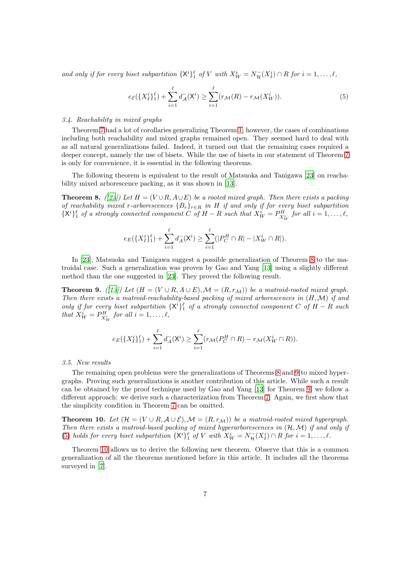and only if for every biset subpartition  ${X^i}_1$  of V with  $X^i_W = N_\mathcal{H}^-(X^i_I) \cap R$  for  $i = 1, \ldots, \ell$ ,

<span id="page-6-2"></span>
$$
e_{\mathcal{E}}(\lbrace X_{I}^{i}\rbrace_{1}^{\ell}) + \sum_{i=1}^{\ell} d_{\mathcal{A}}^{-}(\mathsf{X}^{i}) \geq \sum_{i=1}^{\ell} (r_{\mathcal{M}}(R) - r_{\mathcal{M}}(X_{W}^{i})).
$$
\n
$$
(5)
$$

# *3.4. Reachability in mixed graphs*

Theorem [7](#page-5-3) had a lot of corollaries generalizing Theorem [1,](#page-4-1) however, the cases of combinations including both reachability and mixed graphs remained open. They seemed hard to deal with as all natural generalizations failed. Indeed, it turned out that the remaining cases required a deeper concept, namely the use of bisets. While the use of bisets in our statement of Theorem [7](#page-5-3) is only for convenience, it is essential in the following theorems.

The following theorem is equivalent to the result of Matsuoka and Tanigawa [\[23\]](#page-19-0) on reachability mixed arborescence packing, as it was shown in [\[13\]](#page-18-4).

<span id="page-6-0"></span>**Theorem 8.** *([\[23](#page-19-0)])* Let  $H = (V \cup R, A \cup E)$  be a rooted mixed graph. Then there exists a packing *of reachability mixed* r*-arborescences* {Br}r∈<sup>R</sup> *in* H *if and only if for every biset subpartition*  ${X<sup>i</sup>}<sub>1</sub><sup>l</sup>$  *of a strongly connected component C of*  $H - R$  *such that*  $X<sup>i</sup><sub>W</sub> = P<sup>H</sup><sub>X<sup>i</sup><sub>W</sub></sub>$  *for all*  $i = 1, ..., \ell$ ,

$$
e_E(\lbrace X_I^i \rbrace_1^{\ell}) + \sum_{i=1}^{\ell} d_A^-(X^i) \ge \sum_{i=1}^{\ell} (|P_C^H \cap R| - |X_W^i \cap R|).
$$

In [\[23\]](#page-19-0), Matsuoka and Tanigawa suggest a possible generalization of Theorem [8](#page-6-0) to the matroidal case. Such a generalization was proven by Gao and Yang [\[13\]](#page-18-4) using a slightly different method than the one suggested in [\[23\]](#page-19-0). They proved the following result.

<span id="page-6-1"></span>**Theorem 9.** *([\[13](#page-18-4)])* Let  $(H = (V \cup R, A \cup E), \mathcal{M} = (R, r_{\mathcal{M}}))$  be a matroid-rooted mixed graph. *Then there exists a matroid-reachability-based packing of mixed arborescences in* (H,M) *if and only if for every biset subpartition*  ${X^i}_1$  *of a strongly connected component* C *of*  $H - R$  *such that*  $X_W^i = P_{X_W^i}^H$  *for all*  $i = 1, \ldots, \ell$ ,

$$
e_E(\{X_I^i\}_1^{\ell}) + \sum_{i=1}^{\ell} d_A^-(X^i) \ge \sum_{i=1}^{\ell} (r_{\mathcal{M}}(P_C^H \cap R) - r_{\mathcal{M}}(X_W^i \cap R)).
$$

*3.5. New results*

The remaining open problems were the generalizations of Theorems [8](#page-6-0) and [9](#page-6-1) to mixed hypergraphs. Proving such generalizations is another contribution of this article. While such a result can be obtained by the proof technique used by Gao and Yang [\[13\]](#page-18-4) for Theorem [9,](#page-6-1) we follow a different approach: we derive such a characterization from Theorem [7.](#page-5-3) Again, we first show that the simplicity condition in Theorem [7](#page-5-3) can be omitted.

<span id="page-6-3"></span>**Theorem 10.** Let  $(\mathcal{H} = (V \cup R, \mathcal{A} \cup \mathcal{E}), \mathcal{M} = (R, r_{\mathcal{M}}))$  be a matroid-rooted mixed hypergraph. *Then there exists a matroid-based packing of mixed hyperarborescences in* (H,M) *if and only if* [\(5\)](#page-6-2) *holds for every biset subpartition*  ${X^i}_{1}$  of V with  $X^i_W = N_\mathcal{H}(X^i) \cap R$  for  $i = 1, \ldots, \ell$ .

Theorem [10](#page-6-3) allows us to derive the following new theorem. Observe that this is a common generalization of all the theorems mentioned before in this article. It includes all the theorems surveyed in [\[7\]](#page-18-3).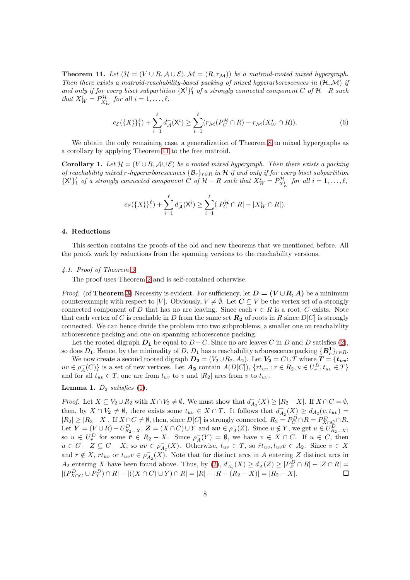<span id="page-7-1"></span>**Theorem 11.** Let  $(\mathcal{H} = (V \cup R, \mathcal{A} \cup \mathcal{E}), \mathcal{M} = (R, r_{\mathcal{M}}))$  be a matroid-rooted mixed hypergraph. *Then there exists a matroid-reachability-based packing of mixed hyperarborescences in* (H,M) *if* and only if for every biset subpartition  ${X^i}_{1}^{\ell}$  of a strongly connected component  $C$  of  $H-R$  such *that*  $X_W^i = P_{X_W^i}^{\mathcal{H}}$  *for all*  $i = 1, \ldots, \ell$ ,

<span id="page-7-3"></span>
$$
e_{\mathcal{E}}(\lbrace X_{I}^{i}\rbrace_{1}^{\ell}) + \sum_{i=1}^{\ell} d_{\mathcal{A}}^{-}(\mathsf{X}^{i}) \geq \sum_{i=1}^{\ell} (r_{\mathcal{M}}(P_{C}^{\mathcal{H}} \cap R) - r_{\mathcal{M}}(X_{W}^{i} \cap R)).
$$
\n
$$
(6)
$$

We obtain the only remaining case, a generalization of Theorem [8](#page-6-0) to mixed hypergraphs as a corollary by applying Theorem [11](#page-7-1) to the free matroid.

**Corollary 1.** Let  $\mathcal{H} = (V \cup R, \mathcal{A} \cup \mathcal{E})$  be a rooted mixed hypergraph. Then there exists a packing *of reachability mixed* r*-hyperarborescences* {Br}r∈<sup>R</sup> *in* H *if and only if for every biset subpartition*  $\{X^i\}_1^{\ell}$  of a strongly connected component  $\hat{C}$  of  $\mathcal{H} - R$  such that  $X^i_W = P^{\mathcal{H}}_{X^i_W}$  for all  $i = 1, \ldots, \ell$ ,

$$
e_{\mathcal{E}}(\lbrace X_{I}^{i}\rbrace_{1}^{\ell})+\sum_{i=1}^{\ell}d_{\mathcal{A}}^{-}(\mathsf{X}^{i})\geq \sum_{i=1}^{\ell}(|P_{C}^{\mathcal{H}}\cap R|-|X_{W}^{i}\cap R|).
$$

### <span id="page-7-0"></span>4. Reductions

<span id="page-7-4"></span>This section contains the proofs of the old and new theorems that we mentioned before. All the proofs work by reductions from the spanning versions to the reachability versions.

## *4.1. Proof of Theorem [3](#page-4-4)*

The proof uses Theorem [2](#page-4-3) and is self-contained otherwise.

*Proof.* (of **Theorem [3](#page-4-4)**) Necessity is evident. For sufficiency, let  $D = (V \cup R, A)$  be a minimum counterexample with respect to |V|. Obviously,  $V \neq \emptyset$ . Let  $C \subseteq V$  be the vertex set of a strongly connected component of D that has no arc leaving. Since each  $r \in R$  is a root, C exists. Note that each vertex of C is reachable in D from the same set  $\mathbb{R}_2$  of roots in R since  $D[C]$  is strongly connected. We can hence divide the problem into two subproblems, a smaller one on reachability arborescence packing and one on spanning arborescence packing.

Let the rooted digraph  $D_1$  be equal to  $D - C$ . Since no arc leaves C in D and D satisfies [\(2\)](#page-4-5), so does  $D_1$ . Hence, by the minimality of  $D, D_1$  has a reachability arborescence packing  $\{B_r^1\}_{r \in R}$ .

We now create a second rooted digraph  $D_2 = (V_2 \cup R_2, A_2)$ . Let  $V_2 = C \cup T$  where  $T = \{t_{uv}:$  $uv \in \rho_A^-(C)$  is a set of new vertices. Let  $A_2$  contain  $A(D[C])$ ,  $\{rt_{uv}: r \in R_2, u \in U_r^D, t_{uv} \in T\}$ and for all  $t_{uv} \in T$ , one arc from  $t_{uv}$  to v and  $|R_2|$  arcs from v to  $t_{uv}$ .

# <span id="page-7-2"></span>Lemma 1.  $D_2$  *satisfies* [\(1\)](#page-4-2).

*Proof.* Let  $X \subseteq V_2 \cup R_2$  with  $X \cap V_2 \neq \emptyset$ . We must show that  $d_{A_2}^-(X) \geq |R_2 - X|$ . If  $X \cap C = \emptyset$ , then, by  $X \cap V_2 \neq \emptyset$ , there exists some  $t_{uv} \in X \cap T$ . It follows that  $d_{A_2}^-(X) \geq d_{A_2}(v, t_{uv}) =$  $|R_2| \geq |R_2 - X|$ . If  $X \cap C \neq \emptyset$ , then, since  $D[C]$  is strongly connected,  $R_2 = P_C^D \cap R = P_{X \cap C}^D \cap R$ . Let  $\boldsymbol{Y} = (V \cup R) - U_{R_2-X}^D$ ,  $\boldsymbol{Z} = (X \cap C) \cup Y$  and  $\boldsymbol{uv} \in \rho_A^-(Z)$ . Since  $u \notin Y$ , we get  $u \in U_{R_2-X}^D$ , so  $u \in U^D_{\overline{r}}$  for some  $\overline{r} \in R_2 - X$ . Since  $\rho^-_A(Y) = \emptyset$ , we have  $v \in X \cap C$ . If  $u \in C$ , then  $u \in C - Z \subseteq C - X$ , so  $uv \in \rho_{A_2}^-(X)$ . Otherwise,  $t_{uv} \in T$ , so  $\bar{r}t_{uv}, t_{uv}v \in A_2$ . Since  $v \in X$ and  $\bar{r} \notin X$ ,  $\bar{r}t_{uv}$  or  $t_{uv}v \in \rho_{A_2}^{-1}(X)$ . Note that for distinct arcs in A entering Z distinct arcs in  $A_2$  entering X have been found above. Thus, by  $(2)$ ,  $d_{A_2}^-(X) \geq d_A^-(Z) \geq |P_Z^D \cap R| - |Z \cap R| =$  $|(P_{X\cap C}^D \cup P_Y^D) \cap R| - |((X \cap C) \cup Y) \cap R| = |R| - |R - (R_2 - X)| = |R_2 - X|.$  $\Box$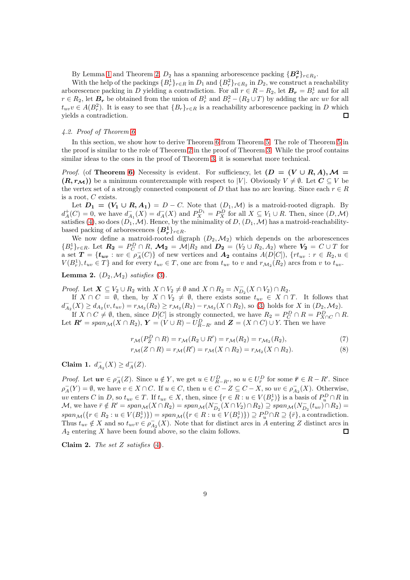By Lemma [1](#page-7-2) and Theorem [2,](#page-4-3)  $D_2$  has a spanning arborescence packing  $\{B_r^2\}_{r \in R_2}$ .

With the help of the packings  ${B_r^1}_{r \in R}$  in  $D_1$  and  ${B_r^2}_{r \in R_2}$  in  $D_2$ , we construct a reachability arborescence packing in D yielding a contradiction. For all  $r \in R - R_2$ , let  $B_r = B_r^1$  and for all  $r \in R_2$ , let  $B_r$  be obtained from the union of  $B_r^1$  and  $B_r^2 - (R_2 \cup T)$  by adding the arc uv for all  $t_{uv}v \in A(B_r^2)$ . It is easy to see that  ${B_r}_{r \in R}$  is a reachability arborescence packing in D which yields a contradiction. П

# *4.2. Proof of Theorem [6](#page-5-4)*

In this section, we show how to derive Theorem [6](#page-5-4) from Theorem [5.](#page-5-2) The role of Theorem [5](#page-5-2) in the proof is similar to the role of Theorem [2](#page-4-3) in the proof of Theorem [3.](#page-4-4) While the proof contains similar ideas to the ones in the proof of Theorem [3,](#page-4-4) it is somewhat more technical.

*Proof.* (of **Theorem [6](#page-5-4)**) Necessity is evident. For sufficiency, let  $(D = (V \cup R, A), \mathcal{M} =$  $(R, r_{\mathcal{M}})$  be a minimum counterexample with respect to |V|. Obviously  $V \neq \emptyset$ . Let  $C \subseteq V$  be the vertex set of a strongly connected component of D that has no arc leaving. Since each  $r \in R$ is a root, C exists.

Let  $D_1 = (V_1 \cup R, A_1) = D - C$ . Note that  $(D_1, \mathcal{M})$  is a matroid-rooted digraph. By  $d_A^+(C) = 0$ , we have  $d_{A_1}^-(X) = d_A^-(X)$  and  $P_X^{D_1} = P_X^D$  for all  $X \subseteq V_1 \cup R$ . Then, since  $(D, \mathcal{M})$ satisfies [\(4\)](#page-5-5), so does  $(D_1, \mathcal{M})$ . Hence, by the minimality of  $D$ ,  $(D_1, \mathcal{M})$  has a matroid-reachabilitybased packing of arborescences  $\{B_r^1\}_{r \in R}$ .

We now define a matroid-rooted digraph  $(D_2, \mathcal{M}_2)$  which depends on the arborescences  ${B_r^1}_{r \in R}$ . Let  $\mathbf{R_2} = P_C^D \cap R$ ,  $\mathcal{M}_2 = \mathcal{M}|R_2$  and  $\mathbf{D}_2 = (V_2 \cup R_2, A_2)$  where  $V_2 = C \cup T$  for a set  $T = \{t_{uv} : uv \in \rho_A^-(C)\}\$ of new vertices and  $A_2$  contains  $A(D[C])$ ,  $\{rt_{uv} : r \in R_2, u \in$  $V(B_r^1), t_{uv} \in T$  and for every  $t_{uv} \in T$ , one arc from  $t_{uv}$  to v and  $r_{\mathcal{M}_2}(R_2)$  arcs from v to  $t_{uv}$ .

<span id="page-8-3"></span>**Lemma 2.**  $(D_2, \mathcal{M}_2)$  *satisfies* [\(3\)](#page-5-1).

*Proof.* Let  $X \subseteq V_2 \cup R_2$  with  $X \cap V_2 \neq \emptyset$  and  $X \cap R_2 = N_{D_2}^-(X \cap V_2) \cap R_2$ .

If  $X \cap C = \emptyset$ , then, by  $X \cap V_2 \neq \emptyset$ , there exists some  $t_{uv} \in X \cap T$ . It follows that  $d_{A_2}^-(X) \geq d_{A_2}(v,t_{uv}) = r_{\mathcal{M}_2}(R_2) \geq r_{\mathcal{M}_2}(R_2) - r_{\mathcal{M}_2}(X \cap R_2)$ , so [\(3\)](#page-5-1) holds for X in  $(D_2,\mathcal{M}_2)$ .

If  $X \cap C \neq \emptyset$ , then, since  $D[C]$  is strongly connected, we have  $R_2 = P_C^D \cap R = P_{X \cap C}^D \cap R$ . Let  $\mathbf{R'} = span_{\mathcal{M}}(X \cap R_2), \mathbf{Y} = (V \cup R) - U_{R-R'}^D$  and  $\mathbf{Z} = (X \cap C) \cup Y$ . Then we have

<span id="page-8-2"></span>
$$
r_{\mathcal{M}}(P_Z^D \cap R) = r_{\mathcal{M}}(R_2 \cup R') = r_{\mathcal{M}}(R_2) = r_{\mathcal{M}_2}(R_2),\tag{7}
$$

$$
r_{\mathcal{M}}(Z \cap R) = r_{\mathcal{M}}(R') = r_{\mathcal{M}}(X \cap R_2) = r_{\mathcal{M}_2}(X \cap R_2). \tag{8}
$$

<span id="page-8-0"></span>Claim 1.  $d_{A_2}^{-}(X) \geq d_A^{-}(Z)$ .

*Proof.* Let  $uv \in \rho_A^-(Z)$ . Since  $u \notin Y$ , we get  $u \in U_{R-R'}^D$ , so  $u \in U_{\overline{r}}^D$  for some  $\overline{r} \in R-R'$ . Since  $\rho_A^-(Y) = \emptyset$ , we have  $v \in X \cap C$ . If  $u \in C$ , then  $u \in C - Z \subseteq C - X$ , so  $uv \in \rho_{A_2}^-(X)$ . Otherwise, uv enters C in D, so  $t_{uv} \in T$ . If  $t_{uv} \in X$ , then, since  $\{r \in R : u \in V(B_r^1)\}$  is a basis of  $P_u^D \cap R$  in M, we have  $\bar{r} \notin R' = span_{\mathcal{M}}(X \cap R_2) = span_{\mathcal{M}}(N_{D_2}^-(X \cap V_2) \cap R_2) \supseteq span_{\mathcal{M}}(N_{D_2}^-(t_{uv}) \cap R_2) =$  $span_{\mathcal{M}}(\lbrace r \in R_2 : u \in V(B_r^1) \rbrace) = span_{\mathcal{M}}(\lbrace r \in R : u \in V(B_r^1) \rbrace) \supseteq P_u^D \cap R \supseteq \lbrace \bar{r} \rbrace$ , a contradiction. Thus  $t_{uv} \notin X$  and so  $t_{uv}v \in \rho_{A_2}^{-1}(X)$ . Note that for distinct arcs in A entering Z distinct arcs in  $A_2$  entering X have been found above, so the claim follows.  $\Box$ 

<span id="page-8-1"></span>Claim 2. *The set* Z *satisfies* [\(4\)](#page-5-5)*.*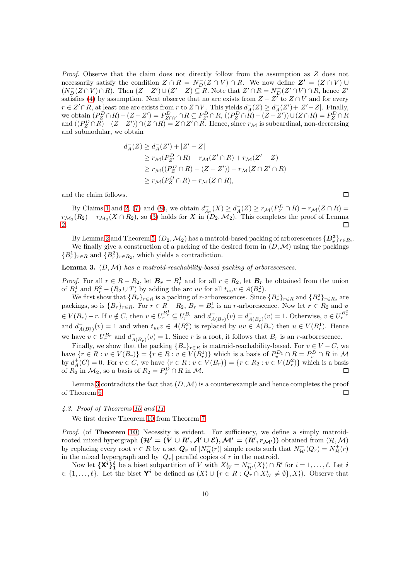*Proof.* Observe that the claim does not directly follow from the assumption as Z does not necessarily satisfy the condition  $Z \cap R = N_D^{-}(Z \cap V) \cap R$ . We now define  $Z' = (Z \cap V) \cup$  $(N_D^-(Z \cap V) \cap R)$ . Then  $(Z - Z') \cup (Z' - Z) \subseteq R$ . Note that  $Z' \cap R = N_D^-(Z' \cap V) \cap R$ , hence  $Z'$ satisfies [\(4\)](#page-5-5) by assumption. Next observe that no arc exists from  $Z - Z^T$  to  $Z \cap V$  and for every  $r \in Z' \cap R$ , at least one arc exists from r to  $Z \cap V$ . This yields  $d_A^-(Z) \geq d_A^-(Z') + |Z' - Z|$ . Finally, we obtain  $(P_Z^D \cap R) - (Z - Z') = P_{Z \cap V}^D \cap R \subseteq P_{Z'}^D \cap R$ ,  $((P_Z^D \cap R) - (Z - Z')) \cup (Z \cap R) = P_Z^D \cap R$ and  $((P_Z^D \cap R) - (Z - Z') \cap (Z \cap R) = Z \cap Z' \cap R$ . Hence, since  $r_{\mathcal{M}}$  is subcardinal, non-decreasing and submodular, we obtain

$$
d_A^-(Z) \ge d_A^-(Z') + |Z' - Z|
$$
  
\n
$$
\ge r_M(P_{Z'}^D \cap R) - r_M(Z' \cap R) + r_M(Z' - Z)
$$
  
\n
$$
\ge r_M((P_Z^D \cap R) - (Z - Z')) - r_M(Z \cap Z' \cap R)
$$
  
\n
$$
\ge r_M(P_Z^D \cap R) - r_M(Z \cap R),
$$

and the claim follows.

By Claims [1](#page-8-0) and [2,](#page-8-1) [\(7\)](#page-8-2) and [\(8\)](#page-8-2), we obtain  $d_{A_2}^-(X) \geq d_A^-(Z) \geq r_{\mathcal{M}}(P_Z^D \cap R) - r_{\mathcal{M}}(Z \cap R) =$  $r_{\mathcal{M}_2}(R_2) - r_{\mathcal{M}_2}(X \cap R_2)$ , so [\(3\)](#page-5-1) holds for X in  $(D_2, \mathcal{M}_2)$ . This completes the proof of Lemma [2.](#page-8-3) П

By Lemma [2](#page-8-3) and Theorem [5,](#page-5-2)  $(D_2, \mathcal{M}_2)$  has a matroid-based packing of arborescences  $\{B_r^2\}_{r\in R_2}$ . We finally give a construction of a packing of the desired form in  $(D, \mathcal{M})$  using the packings  ${B_r^1}_{r \in R}$  and  ${B_r^2}_{r \in R_2}$ , which yields a contradiction.

# <span id="page-9-0"></span>Lemma 3. (D,M) *has a matroid-reachability-based packing of arborescences.*

*Proof.* For all  $r \in R - R_2$ , let  $B_r = B_r^1$  and for all  $r \in R_2$ , let  $B_r$  be obtained from the union of  $B_r^1$  and  $B_r^2 - (R_2 \cup T)$  by adding the arc uv for all  $t_{uv}v \in A(B_r^2)$ .

We first show that  $\{B_r\}_{r \in R}$  is a packing of r-arborescences. Since  $\{B_r^1\}_{r \in R}$  and  $\{B_r^2\}_{r \in R_2}$  are packings, so is  $\{B_r\}_{r \in R}$ . For  $r \in R - R_2$ ,  $B_r = B_r^1$  is an *r*-arborescence. Now let  $r \in R_2$  and  $v$  $\mathcal{L} \in V(B_r) - r$ . If  $v \notin C$ , then  $v \in U_r^{B_r^1} \subseteq U_r^{B_r}$  and  $d_{A(B_r)}^-(v) = d_{A(B_r^1)}^-(v) = 1$ . Otherwise,  $v \in U_r^{B_r^2}$ and  $d_{A(B_r^2)}^-(v) = 1$  and when  $t_{uv}v \in A(B_r^2)$  is replaced by  $uv \in A(B_r)$  then  $u \in V(B_r^1)$ . Hence we have  $v \in U_r^{B_r}$  and  $d_{A(B_r)}^-(v) = 1$ . Since r is a root, it follows that  $B_r$  is an r-arborescence.  $A(B_r)$ 

Finally, we show that the packing  ${B_r}_{r \in R}$  is matroid-reachability-based. For  $v \in V - C$ , we have  $\{r \in R : v \in V(B_r)\} = \{r \in R : v \in V(B_r^1)\}\$  which is a basis of  $P_v^{D_1} \cap R = P_v^D \cap R$  in M by  $d^+_A(C) = 0$ . For  $v \in C$ , we have  $\{r \in R : v \in V(B_r)\} = \{r \in R_2 : v \in V(B_r^2)\}\$  which is a basis of  $R_2$  in  $\mathcal{M}_2$ , so a basis of  $R_2 = P_v^D \cap R$  in  $\mathcal{M}$ .

Lemma [3](#page-9-0) contradicts the fact that  $(D, \mathcal{M})$  is a counterexample and hence completes the proof of Theorem [6.](#page-5-4) П

# *4.3. Proof of Theorems [10](#page-6-3) and [11](#page-7-1)*

We first derive Theorem [10](#page-6-3) from Theorem [7.](#page-5-3)

*Proof.* (of **Theorem [10](#page-6-3)**) Necessity is evident. For sufficiency, we define a simply matroidrooted mixed hypergraph  $(\mathcal{H}' = (V \cup R', \mathcal{A}' \cup \mathcal{E}), \mathcal{M}' = (R', r_{\mathcal{M}'}))$  obtained from  $(\mathcal{H}, \mathcal{M})$ by replacing every root  $r \in R$  by a set  $Q_r$  of  $|N^+_{\mathcal{H}}(r)|$  simple roots such that  $N^+_{\mathcal{H}'}(Q_r) = N^+_{\mathcal{H}}(r)$ in the mixed hypergraph and by  $|Q_r|$  parallel copies of r in the matroid.

Now let  $\{X^i\}_{1}^{\ell}$  be a biset subpartition of V with  $X^i_W = N_{\mathcal{H}'}(X^i) \cap R'$  for  $i = 1, \ldots, \ell$ . Let  $i$  $\in \{1,\ldots,\ell\}$ . Let the biset  $\mathbf{Y}^i$  be defined as  $(X_I^i \cup \{r \in R : Q_r \cap X_W^i \neq \emptyset\}, X_I^i)$ . Observe that

 $\Box$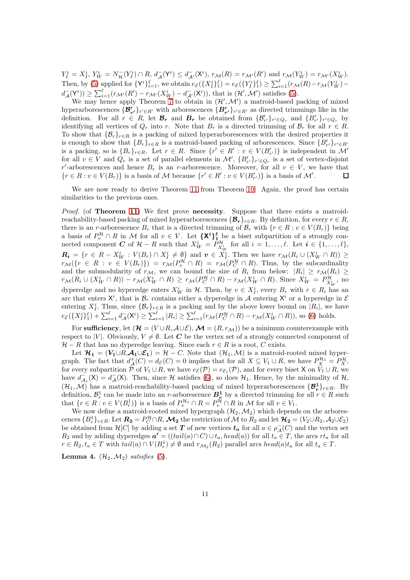$Y_I^i = X_I^i$ ,  $Y_W^i = N_{\mathcal{H}}^-(Y_I^i) \cap R$ ,  $d_{\mathcal{A}}^-(Y^i) \leq d_{\mathcal{A}'}^-(X^i)$ ,  $r_{\mathcal{M}}(R) = r_{\mathcal{M}'}(R')$  and  $r_{\mathcal{M}}(Y_W^i) = r_{\mathcal{M}'}(X_W^i)$ . Then, by [\(5\)](#page-6-2) applied for  $\{Y^i\}_{i=1}^{\ell}$ , we obtain  $e_{\mathcal{E}}(\{X^i_I\}_1^{\ell}) = e_{\mathcal{E}}(\{Y^i_I\}_1^{\ell}) \geq \sum_{i=1}^{\ell} (r_{\mathcal{M}}(R) - r_{\mathcal{M}}(Y^i_W)$  $d_{\mathcal{A}}^{-}(\mathsf{Y}^{i})) \geq \sum_{i=1}^{\ell} (r_{\mathcal{M}'}(R') - r_{\mathcal{M}'}(X_{W}^{i}) - d_{\mathcal{A}'}^{-}(\mathsf{X}^{i})),$  that is  $(\mathcal{H}', \mathcal{M}')$  satisfies [\(5\)](#page-6-2).

We may hence apply Theorem [7](#page-5-3) to obtain in  $(\mathcal{H}', \mathcal{M}')$  a matroid-based packing of mixed hyperarborescences  $\{\mathcal{B}'_{r'}\}_{r' \in R'}$  with arborescences  $\{B'_{r'}\}_{r' \in R'}$  as directed trimmings like in the definition. For all  $r \in R$ , let  $\mathcal{B}_r$  and  $B_r$  be obtained from  $\{\mathcal{B}'_{r'}\}_{r' \in Q_r}$  and  $\{B'_{r'}\}_{r' \in Q_r}$  by identifying all vertices of  $Q_r$  into r. Note that  $B_r$  is a directed trimming of  $\mathcal{B}_r$  for all  $r \in R$ . To show that  $\{\mathcal{B}_r\}_{r\in R}$  is a packing of mixed hyperarborescences with the desired properties it is enough to show that  $\{B_r\}_{r \in R}$  is a matroid-based packing of arborescences. Since  $\{B'_{r'}\}_{r' \in R'}$ is a packing, so is  $\{B_r\}_{r \in R}$ . Let  $r \in R$ . Since  $\{r' \in R' : v \in V(B'_{r'})\}$  is independent in M' for all  $v \in V$  and  $Q_r$  is a set of parallel elements in  $\mathcal{M}'$ ,  $\{B'_{r'}\}_{r' \in Q_r}$  is a set of vertex-disjoint r'-arborescences and hence  $B_r$  is an r-arborescence. Moreover, for all  $v \in V$ , we have that  $\{r \in R : v \in V(B_r)\}\$ is a basis of M because  $\{r' \in R' : v \in V(B'_{r'})\}\$ is a basis of M'.  $\Box$ 

We are now ready to derive Theorem [11](#page-7-1) from Theorem [10.](#page-6-3) Again, the proof has certain similarities to the previous ones.

*Proof.* (of **Theorem [11](#page-7-1)**) We first prove **necessity**. Suppose that there exists a matroidreachability-based packing of mixed hyperarborescences  $\{\mathcal{B}_r\}_{r\in R}$ . By definition, for every  $r \in R$ , there is an r-arborescence  $B_r$  that is a directed trimming of  $\mathcal{B}_r$  with  $\{r \in R : v \in V(B_r)\}\$ a basis of  $P_v^{\mathcal{H}} \cap R$  in M for all  $v \in V$ . Let  $\{X^i\}_{1,i}^{\ell}$  be a biset subpartition of a strongly connected component C of  $\mathcal{H} - R$  such that  $X_W^i = \overline{P}_{X_W^i}^{\mathcal{H}}$  for all  $i = 1, \ldots, \ell$ . Let  $i \in \{1, \ldots, \ell\}$ ,  $\mathbf{R_i} = \{r \in R - X_W^i : V(B_r) \cap X_I^i \neq \emptyset\}$  and  $\mathbf{v} \in X_I^i$ . Then we have  $r_{\mathcal{M}}(R_i \cup (X_W^i \cap R)) \geq$  $r_{\mathcal{M}}(\lbrace r \in R : v \in V(B_r) \rbrace) = r_{\mathcal{M}}(P_v^{\mathcal{H}} \cap R) = r_{\mathcal{M}}(P_C^{\mathcal{H}} \cap R)$ . Thus, by the subcardinality and the submodularity of  $r_{\mathcal{M}}$ , we can bound the size of  $R_i$  from below:  $|R_i| \geq r_{\mathcal{M}}(R_i) \geq$  $r_{\mathcal{M}}(R_i \cup (X_W^i \cap R)) - r_{\mathcal{M}}(X_W^i \cap R) \ge r_{\mathcal{M}}(P_C^{\mathcal{H}} \cap R) - r_{\mathcal{M}}(X_W^i \cap R)$ . Since  $X_W^i = P_{X_W^i}^{\mathcal{H}}$ , no dyperedge and no hyperedge enters  $X_W^i$  in  $\mathcal{H}$ . Then, by  $v \in X_I^i$ , every  $B_r$  with  $r \in R_i$  has an arc that enters  $X^i$ , that is  $B_r$  contains either a dyperedge in A entering  $X^i$  or a hyperedge in E entering  $X_I^i$ . Thus, since  $\{\mathcal{B}_r\}_{r \in R}$  is a packing and by the above lower bound on  $|R_i|$ , we have  $e_{\mathcal{E}}(\{X_{I}^{i}\}_{1}^{\ell}) + \sum_{i=1}^{\ell} d_{\mathcal{A}}^{-1}(\mathsf{X}^{i}) \geq \sum_{i=1}^{\ell} |R_{i}| \geq \sum_{i=1}^{\ell} (r_{\mathcal{M}}(P_{C}^{\mathcal{H}} \cap R) - r_{\mathcal{M}}(X_{W}^{i} \cap R)),$  so [\(6\)](#page-7-3) holds.

For sufficiency, let  $(\mathcal{H} = (V \cup R, \mathcal{A} \cup \mathcal{E}), \mathcal{M} = (R, r_{\mathcal{M}}))$  be a minimum counterexample with respect to |V|. Obviously,  $V \neq \emptyset$ . Let C be the vertex set of a strongly connected component of  $\mathcal{H} - R$  that has no dyperedge leaving. Since each  $r \in R$  is a root, C exists.

Let  $\mathcal{H}_1 = (V_1 \cup R, \mathcal{A}_1 \cup \mathcal{E}_1) = \mathcal{H} - C$ . Note that  $(\mathcal{H}_1, \mathcal{M})$  is a matroid-rooted mixed hypergraph. The fact that  $d^+_{\mathcal{A}}(C) = d_{\mathcal{E}}(C) = 0$  implies that for all  $X \subseteq V_1 \cup R$ , we have  $P_X^{\mathcal{H}_1} = P_X^{\mathcal{H}}$ , for every subpartition  $\tilde{\mathcal{P}}$  of  $V_1 \cup R$ , we have  $e_{\mathcal{E}}(\mathcal{P}) = e_{\mathcal{E}_1}(\mathcal{P})$ , and for every biset X on  $V_1 \cup R$ , we have  $d_{\mathcal{A}_1}^{-1}(X) = d_{\mathcal{A}}^{-}(X)$ . Then, since H satisfies [\(6\)](#page-7-3), so does  $\mathcal{H}_1$ . Hence, by the minimality of  $\mathcal{H}$ ,  $(\mathcal{H}_1, \mathcal{M})$  has a matroid-reachability-based packing of mixed hyperarborescences  $\{\mathcal{B}_r^1\}_{r \in R}$ . By definition,  $\mathcal{B}_r^1$  can be made into an r-arborescence  $B_r^1$  by a directed trimming for all  $r \in R$  such that  $\{r \in R : v \in V(B_r^1)\}$  is a basis of  $P_v^{\mathcal{H}_1} \cap R = P_v^{\mathcal{H}} \cap R$  in M for all  $v \in V_1$ .

We now define a matroid-rooted mixed hypergraph  $(\mathcal{H}_2,\mathcal{M}_2)$  which depends on the arborescences  ${B_r^1}_{r\in R}$ . Let  $\mathbf{R_2} = P_C^{\mathcal{H}} \cap R$ ,  $\mathcal{M}_2$  the restriction of  $\mathcal{M}$  to  $R_2$  and let  $\mathcal{H}_2 = (V_2 \cup R_2, \mathcal{A}_2 \cup \mathcal{E}_2)$ be obtained from  $\mathcal{H}[C]$  by adding a set  $T$  of new vertices  $t_a$  for all  $a \in \rho^-_{\mathcal{A}}(C)$  and the vertex set  $R_2$  and by adding dyperedges  $a' = ((tail(a) \cap C) \cup t_a, head(a))$  for all  $t_a \in T$ , the arcs  $rt_a$  for all  $r \in R_2, t_a \in T$  with  $tail(a) \cap V(B_r^1) \neq \emptyset$  and  $r_{\mathcal{M}_2}(R_2)$  parallel arcs  $head(a)t_a$  for all  $t_a \in T$ .

<span id="page-10-0"></span>**Lemma 4.**  $(\mathcal{H}_2, \mathcal{M}_2)$  *satisfies* [\(5\)](#page-6-2).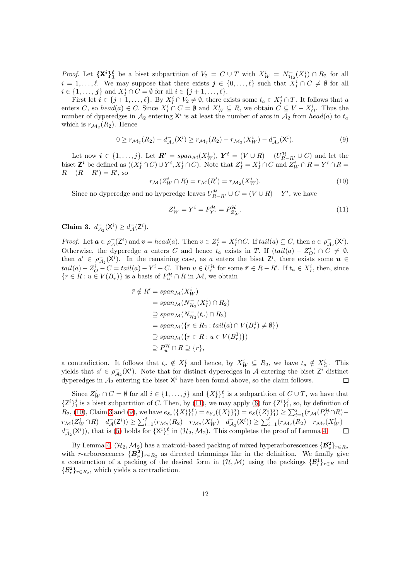*Proof.* Let  $\{X^i\}_1^{\ell}$  be a biset subpartition of  $V_2 = C \cup T$  with  $X^i_W = N_{\mathcal{H}_2}^-(X_I^i) \cap R_2$  for all  $i = 1, \ldots, \ell$ . We may suppose that there exists  $j \in \{0, \ldots, \ell\}$  such that  $X_I^i \cap C \neq \emptyset$  for all  $i \in \{1, \ldots, j\}$  and  $X_I^i \cap C = \emptyset$  for all  $i \in \{j + 1, \ldots, \ell\}.$ 

First let  $i \in \{j+1,\ldots,\ell\}$ . By  $X_I^i \cap V_2 \neq \emptyset$ , there exists some  $t_a \in X_I^i \cap T$ . It follows that a enters C, so  $head(a) \in C$ . Since  $X_I^i \cap C = \emptyset$  and  $X_W^i \subseteq R$ , we obtain  $C \subseteq V - X_O^i$ . Thus the number of dyperedges in  $A_2$  entering  $X^i$  is at least the number of arcs in  $A_2$  from  $head(a)$  to  $t_a$ which is  $r_{\mathcal{M}_2}(R_2)$ . Hence

<span id="page-11-3"></span>
$$
0 \ge r_{\mathcal{M}_2}(R_2) - d_{\mathcal{A}_2}(\mathsf{X}^i) \ge r_{\mathcal{M}_2}(R_2) - r_{\mathcal{M}_2}(\mathsf{X}_W^i) - d_{\mathcal{A}_2}(\mathsf{X}^i). \tag{9}
$$

Let now  $i \in \{1,\ldots,j\}$ . Let  $\mathbf{R'} = span_{\mathcal{M}}(X_W^i)$ ,  $\mathbf{Y}^i = (V \cup R) - (U_{R-R'}^{\mathcal{H}} \cup C)$  and let the biset  $\mathbf{Z}^i$  be defined as  $((X_I^i \cap C) \cup Y^i, X_I^i \cap C)$ . Note that  $Z_I^i = X_I^i \cap C$  and  $Z_W^i \cap R = Y^i \cap R =$  $R - (R - R') = R'$ , so

<span id="page-11-1"></span>
$$
r_{\mathcal{M}}(Z_W^i \cap R) = r_{\mathcal{M}}(R') = r_{\mathcal{M}_2}(X_W^i). \tag{10}
$$

Since no dyperedge and no hyperedge leaves  $U_{R-R'}^{\mathcal{H}} \cup C = (V \cup R) - Y^i$ , we have

<span id="page-11-0"></span>
$$
Z_W^i = Y^i = P_{Y^i}^{\mathcal{H}} = P_{Z_W^i}^{\mathcal{H}}.
$$
\n
$$
(11)
$$

<span id="page-11-2"></span>Claim 3.  $d_{\mathcal{A}_2}^-(\mathsf{X}^i) \geq d_{\mathcal{A}}^-(\mathsf{Z}^i)$ .

*Proof.* Let  $\mathbf{a} \in \rho_{\mathcal{A}}^-(\mathsf{Z}^i)$  and  $\mathbf{v} = head(a)$ . Then  $v \in Z_I^i = X_I^i \cap C$ . If  $tail(a) \subseteq C$ , then  $a \in \rho_{\mathcal{A}_2}^-(\mathsf{X}^i)$ . Otherwise, the dyperedge a enters C and hence  $t_a$  exists in T. If  $(tail(a) - Z_O^i) \cap C \neq \emptyset$ , then  $a' \in \overline{\rho}_{\mathcal{A}_2}(X^i)$ . In the remaining case, as a enters the biset  $Z^i$ , there exists some  $u \in$  $tail(a) - Z_O^i - C = tail(a) - Y^i - C$ . Then  $u \in U^{\mathcal{H}}_{\bar{r}}$  for some  $\bar{r} \in R - R'$ . If  $t_a \in X_I^i$ , then, since  $\{r \in R : u \in V(B_r^1)\}\$ is a basis of  $P_u^{\mathcal{H}} \cap R$  in  $\mathcal{M}$ , we obtain

$$
\begin{aligned}\n\bar{r} \notin R' &= span_{\mathcal{M}}(X_W^i) \\
&= span_{\mathcal{M}}(N_{\mathcal{H}_2}^-(X_I^i) \cap R_2) \\
&\supseteq span_{\mathcal{M}}(N_{\mathcal{H}_2}^-(t_a) \cap R_2) \\
&= span_{\mathcal{M}}(\{r \in R_2 : tail(a) \cap V(B_r^1) \neq \emptyset\}) \\
&\supseteq span_{\mathcal{M}}(\{r \in R : u \in V(B_r^1)\}) \\
&\supseteq P_u^{\mathcal{H}} \cap R \supseteq \{\bar{r}\},\n\end{aligned}
$$

a contradiction. It follows that  $t_a \notin X_I^i$  and hence, by  $X_W^i \subseteq R_2$ , we have  $t_a \notin X_O^i$ . This yields that  $a' \in \rho_{A_2}^-(X^i)$ . Note that for distinct dyperedges in A entering the biset  $Z^i$  distinct dyperedges in  $A_2$  entering the biset  $X^i$  have been found above, so the claim follows.

Since  $Z_W^i \cap C = \emptyset$  for all  $i \in \{1, \ldots, j\}$  and  $\{X_I^i\}_1^{\ell}$  is a subpartition of  $C \cup T$ , we have that  $\{Z^i\}^j_1$  is a biset subpartition of C. Then, by [\(11\)](#page-11-0), we may apply [\(6\)](#page-7-3) for  $\{Z^i\}^j_1$ , so, by definition of  $R_2$ , [\(10\)](#page-11-1), Claim [3](#page-11-2) and [\(9\)](#page-11-3), we have  $e_{\mathcal{E}_2}(\{X_I^i\}_1^{\ell}) = e_{\mathcal{E}_2}(\{X_I^i\}_1^j) = e_{\mathcal{E}}(\{Z_I^i\}_1^j) \geq \sum_{i=1}^j (r_{\mathcal{M}}(P_C^{\mathcal{H}} \cap R)$  $r_{\mathcal{M}}(Z_W^i \cap R) - d_{\mathcal{A}}^-(Z^i)) \ge \sum_{i=1}^j (r_{\mathcal{M}_2}(R_2) - r_{\mathcal{M}_2}(X_W^i) - d_{\mathcal{A}_2}^-(X^i)) \ge \sum_{i=1}^\ell (r_{\mathcal{M}_2}(R_2) - r_{\mathcal{M}_2}(X_W^i) - d_{\mathcal{A}_2}^-(X^i))$  $d_{\mathcal{A}_2}^-(\mathsf{X}^i)$ , that is [\(5\)](#page-6-2) holds for  $\{\mathsf{X}^i\}_1^{\ell}$  in  $(\mathcal{H}_2, \mathcal{M}_2)$ . This completes the proof of Lemma [4.](#page-10-0)  $\Box$ 

By Lemma [4,](#page-10-0)  $(\mathcal{H}_2, \mathcal{M}_2)$  has a matroid-based packing of mixed hyperarborescences  $\{\mathcal{B}_r^2\}_{r \in R_2}$ with r-arborescences  $\{B_r^2\}_{r \in R_2}$  as directed trimmings like in the definition. We finally give a construction of a packing of the desired form in  $(\mathcal{H}, \mathcal{M})$  using the packings  $\{\mathcal{B}_r^1\}_{r \in R}$  and  $\{\mathcal{B}_r^2\}_{r \in R_2}$ , which yields a contradiction.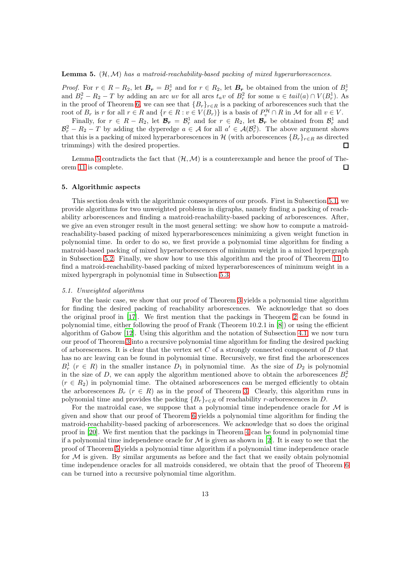#### <span id="page-12-1"></span>Lemma 5. (H,M) *has a matroid-reachability-based packing of mixed hyperarborescences.*

*Proof.* For  $r \in R - R_2$ , let  $\mathbf{B_r} = B_r^1$  and for  $r \in R_2$ , let  $\mathbf{B_r}$  be obtained from the union of  $B_r^1$ and  $B_r^2 - R_2 - T$  by adding an arc uv for all arcs  $t_a v$  of  $B_r^2$  for some  $u \in tail(a) \cap V(B_r^1)$ . As in the proof of Theorem [6,](#page-5-4) we can see that  ${B_r}_{r \in R}$  is a packing of arborescences such that the root of  $B_r$  is r for all  $r \in R$  and  $\{r \in R : v \in V(B_r)\}\)$  is a basis of  $P_v^{\mathcal{H}} \cap R$  in M for all  $v \in V$ .

Finally, for  $r \in R - R_2$ , let  $\mathcal{B}_r = \mathcal{B}_r^1$  and for  $r \in R_2$ , let  $\mathcal{B}_r$  be obtained from  $\mathcal{B}_r^1$  and  $\mathcal{B}_r^2 - R_2 - T$  by adding the dyperedge  $a \in \mathcal{A}$  for all  $a' \in \mathcal{A}(\mathcal{B}_r^2)$ . The above argument shows that this is a packing of mixed hyperarborescences in H (with arborescences  ${B_r}_{r \in R}$  as directed trimmings) with the desired properties.  $\Box$ 

<span id="page-12-0"></span>Lemma [5](#page-12-1) contradicts the fact that  $(H, \mathcal{M})$  is a counterexample and hence the proof of Theorem [11](#page-7-1) is complete.  $\Box$ 

### 5. Algorithmic aspects

This section deals with the algorithmic consequences of our proofs. First in Subsection [5.1,](#page-12-2) we provide algorithms for two unweighted problems in digraphs, namely finding a packing of reachability arborescences and finding a matroid-reachability-based packing of arborescences. After, we give an even stronger result in the most general setting: we show how to compute a matroidreachability-based packing of mixed hyperarborescences minimizing a given weight function in polynomial time. In order to do so, we first provide a polynomial time algorithm for finding a matroid-based packing of mixed hyperarborescences of minimum weight in a mixed hypergraph in Subsection [5.2.](#page-12-3) Finally, we show how to use this algorithm and the proof of Theorem [11](#page-7-1) to find a matroid-reachability-based packing of mixed hyperarborescences of minimum weight in a mixed hypergraph in polynomial time in Subsection [5.3.](#page-16-0)

## <span id="page-12-2"></span>*5.1. Unweighted algorithms*

For the basic case, we show that our proof of Theorem [3](#page-4-4) yields a polynomial time algorithm for finding the desired packing of reachability arborescences. We acknowledge that so does the original proof in [\[17\]](#page-18-1). We first mention that the packings in Theorem [2](#page-4-3) can be found in polynomial time, either following the proof of Frank (Theorem 10.2.1 in [\[8\]](#page-18-9)) or using the efficient algorithm of Gabow [\[12\]](#page-18-12). Using this algorithm and the notation of Subsection [4.1,](#page-7-4) we now turn our proof of Theorem [3](#page-4-4) into a recursive polynomial time algorithm for finding the desired packing of arborescences. It is clear that the vertex set  $C$  of a strongly connected component of  $D$  that has no arc leaving can be found in polynomial time. Recursively, we first find the arborescences  $B_r^1$  ( $r \in R$ ) in the smaller instance  $D_1$  in polynomial time. As the size of  $D_2$  is polynomial in the size of D, we can apply the algorithm mentioned above to obtain the arborescences  $B_r^2$  $(r \in R_2)$  in polynomial time. The obtained arborescences can be merged efficiently to obtain the arborescences  $B_r$  ( $r \in R$ ) as in the proof of Theorem [3.](#page-4-4) Clearly, this algorithm runs in polynomial time and provides the packing  ${B_r}_{r \in R}$  of reachability r-arborescences in D.

<span id="page-12-3"></span>For the matroidal case, we suppose that a polynomial time independence oracle for  $\mathcal M$  is given and show that our proof of Theorem [6](#page-5-4) yields a polynomial time algorithm for finding the matroid-reachability-based packing of arborescences. We acknowledge that so does the original proof in [\[20](#page-18-2)]. We first mention that the packings in Theorem [4](#page-5-0) can be found in polynomial time if a polynomial time independence oracle for  $\mathcal M$  is given as shown in [\[2\]](#page-17-0). It is easy to see that the proof of Theorem [5](#page-5-2) yields a polynomial time algorithm if a polynomial time independence oracle for  $\mathcal M$  is given. By similar arguments as before and the fact that we easily obtain polynomial time independence oracles for all matroids considered, we obtain that the proof of Theorem [6](#page-5-4) can be turned into a recursive polynomial time algorithm.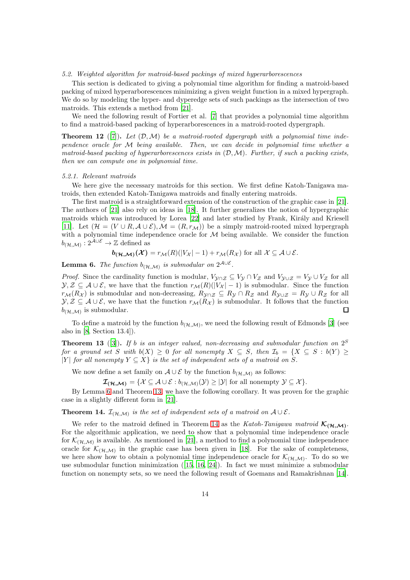### *5.2. Weighted algorithm for matroid-based packings of mixed hyperarborescences*

This section is dedicated to giving a polynomial time algorithm for finding a matroid-based packing of mixed hyperarborescences minimizing a given weight function in a mixed hypergraph. We do so by modeling the hyper- and dyperedge sets of such packings as the intersection of two matroids. This extends a method from [\[21\]](#page-18-7).

We need the following result of Fortier et al. [\[7\]](#page-18-3) that provides a polynomial time algorithm to find a matroid-based packing of hyperarborescences in a matroid-rooted dypergraph.

<span id="page-13-3"></span>**Theorem 12** ([\[7\]](#page-18-3)). Let  $(D, M)$  be a matroid-rooted dypergraph with a polynomial time inde*pendence oracle for* M *being available. Then, we can decide in polynomial time whether a matroid-based packing of hyperarborescences exists in* (D,M)*. Further, if such a packing exists, then we can compute one in polynomial time.*

### *5.2.1. Relevant matroids*

We here give the necessary matroids for this section. We first define Katoh-Tanigawa matroids, then extended Katoh-Tanigawa matroids and finally entering matroids.

The first matroid is a straightforward extension of the construction of the graphic case in [\[21\]](#page-18-7). The authors of [\[21\]](#page-18-7) also rely on ideas in [\[18](#page-18-13)]. It further generalizes the notion of hypergraphic matroids which was introduced by Lorea [\[22\]](#page-19-2) and later studied by Frank, Király and Kriesell [\[11\]](#page-18-14). Let  $(\mathcal{H} = (V \cup R, \mathcal{A} \cup \mathcal{E}), \mathcal{M} = (R, r_{\mathcal{M}}))$  be a simply matroid-rooted mixed hypergraph with a polynomial time independence oracle for  $M$  being available. We consider the function  $b_{(\mathcal{H},\mathcal{M})}:2^{\mathcal{A}\cup\mathcal{E}}\rightarrow\mathbb{Z}$  defined as

$$
\mathbf{b}_{(\mathcal{H},\mathcal{M})}(\mathcal{X}) = r_{\mathcal{M}}(R)(|V_{\mathcal{X}}| - 1) + r_{\mathcal{M}}(R_{\mathcal{X}})
$$
 for all  $\mathcal{X} \subseteq \mathcal{A} \cup \mathcal{E}$ .

<span id="page-13-0"></span>**Lemma 6.** The function  $b_{(\mathcal{H},\mathcal{M})}$  is submodular on  $2^{\mathcal{A}\cup\mathcal{E}}$ .

*Proof.* Since the cardinality function is modular,  $V_{\mathcal{Y}\cap\mathcal{Z}} \subseteq V_{\mathcal{Y}} \cap V_{\mathcal{Z}}$  and  $V_{\mathcal{Y}\cup\mathcal{Z}} = V_{\mathcal{Y}} \cup V_{\mathcal{Z}}$  for all  $\mathcal{Y}, \mathcal{Z} \subseteq \mathcal{A} \cup \mathcal{E}$ , we have that the function  $r_{\mathcal{M}}(R)(|V_{\mathcal{X}}| - 1)$  is submodular. Since the function  $r_{\mathcal{M}}(R_{\mathcal{X}})$  is submodular and non-decreasing,  $R_{\mathcal{Y}\cap\mathcal{Z}}\subseteq R_{\mathcal{Y}}\cap R_{\mathcal{Z}}$  and  $R_{\mathcal{Y}\cup\mathcal{Z}}=R_{\mathcal{Y}}\cup R_{\mathcal{Z}}$  for all  $\mathcal{Y}, \mathcal{Z} \subseteq \mathcal{A} \cup \mathcal{E}$ , we have that the function  $r_{\mathcal{M}}(R_{\mathcal{X}})$  is submodular. It follows that the function  $b_{(\mathcal{H},\mathcal{M})}$  is submodular. П

To define a matroid by the function  $b_{(\mathcal{H},\mathcal{M})}$ , we need the following result of Edmonds [\[3](#page-18-15)] (see also in [\[8,](#page-18-9) Section 13.4]).

<span id="page-13-1"></span>Theorem 13 ([\[3](#page-18-15)]). *If* b *is an integer valued, non-decreasing and submodular function on* 2 S *for a ground set* S *with*  $b(X) \geq 0$  *for all nonempty*  $X \subseteq S$ *, then*  $\mathcal{I}_b = \{X \subseteq S : b(Y) \geq 0\}$ |Y| *for all nonempty*  $Y \subseteq X$ } *is the set of independent sets of a matroid on* S.

We now define a set family on  $\mathcal{A} \cup \mathcal{E}$  by the function  $b_{(\mathcal{H},\mathcal{M})}$  as follows:

 $\mathcal{I}_{(\mathcal{H},\mathcal{M})} = \{ \mathcal{X} \subseteq \mathcal{A} \cup \mathcal{E} : b_{(\mathcal{H},\mathcal{M})}(\mathcal{Y}) \geq |\mathcal{Y}| \text{ for all nonempty } \mathcal{Y} \subseteq \mathcal{X} \}.$ 

By Lemma [6](#page-13-0) and Theorem [13,](#page-13-1) we have the following corollary. It was proven for the graphic case in a slightly different form in [\[21\]](#page-18-7).

<span id="page-13-2"></span>**Theorem 14.**  $\mathcal{I}_{(\mathcal{H},\mathcal{M})}$  is the set of independent sets of a matroid on  $\mathcal{A} \cup \mathcal{E}$ .

We refer to the matroid defined in Theorem [14](#page-13-2) as the *Katoh-Tanigawa matroid*  $\mathcal{K}_{(\mathcal{H},\mathcal{M})}$ . For the algorithmic application, we need to show that a polynomial time independence oracle for  $\mathcal{K}_{(\mathcal{H},\mathcal{M})}$  is available. As mentioned in [\[21\]](#page-18-7), a method to find a polynomial time independence oracle for  $\mathcal{K}_{(\mathcal{H},\mathcal{M})}$  in the graphic case has been given in [\[18\]](#page-18-13). For the sake of completeness, we here show how to obtain a polynomial time independence oracle for  $\mathcal{K}_{(\mathcal{H},\mathcal{M})}$ . To do so we use submodular function minimization  $([15, 16, 24])$  $([15, 16, 24])$  $([15, 16, 24])$  $([15, 16, 24])$  $([15, 16, 24])$  $([15, 16, 24])$ . In fact we must minimize a submodular function on nonempty sets, so we need the following result of Goemans and Ramakrishnan [\[14\]](#page-18-18).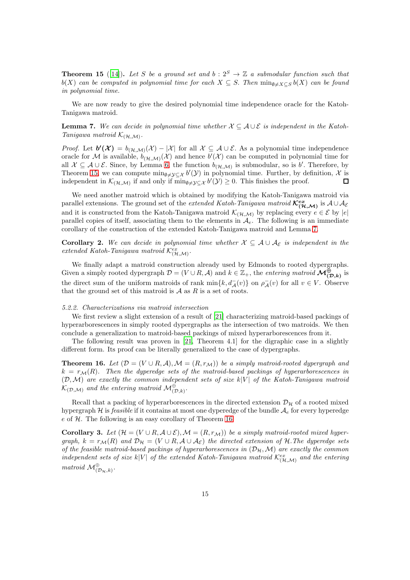<span id="page-14-0"></span>**Theorem 15** ([\[14\]](#page-18-18)). Let S be a ground set and  $b: 2^S \rightarrow \mathbb{Z}$  a submodular function such that  $b(X)$  *can be computed in polynomial time for each*  $X \subseteq S$ . Then  $\min_{\emptyset \neq X \subseteq S} b(X)$  *can be found in polynomial time.*

We are now ready to give the desired polynomial time independence oracle for the Katoh-Tanigawa matroid.

<span id="page-14-1"></span>**Lemma 7.** We can decide in polynomial time whether  $X \subseteq A \cup E$  is independent in the Katoh-*Tanigawa matroid*  $\mathcal{K}_{(\mathcal{H},\mathcal{M})}$ .

*Proof.* Let  $b'(\mathcal{X}) = b_{(\mathcal{H},\mathcal{M})}(\mathcal{X}) - |\mathcal{X}|$  for all  $\mathcal{X} \subseteq \mathcal{A} \cup \mathcal{E}$ . As a polynomial time independence oracle for M is available,  $b_{(\mathcal{H},\mathcal{M})}(\mathcal{X})$  and hence  $b'(\mathcal{X})$  can be computed in polynomial time for all  $\mathcal{X} \subseteq \mathcal{A} \cup \mathcal{E}$ . Since, by Lemma [6,](#page-13-0) the function  $b_{(\mathcal{H},\mathcal{M})}$  is submodular, so is b'. Therefore, by Theorem [15,](#page-14-0) we can compute  $\min_{\emptyset \neq y \subseteq \mathcal{X}} b'(\mathcal{Y})$  in polynomial time. Further, by definition, X is independent in  $\mathcal{K}_{(\mathcal{H},\mathcal{M})}$  if and only if  $\overline{\min}_{\emptyset \neq \mathcal{Y} \subseteq \mathcal{X}} b'(\mathcal{Y}) \geq 0$ . This finishes the proof. Г

We need another matroid which is obtained by modifying the Katoh-Tanigawa matroid via parallel extensions. The ground set of the *extended Katoh-Tanigawa matroid*  $\mathcal{K}_{(\mathcal{H},\mathcal{M})}^{ex}$  is  $\mathcal{A}\cup\mathcal{A}_{\mathcal{E}}$ and it is constructed from the Katoh-Tanigawa matroid  $\mathcal{K}_{(\mathcal{H},\mathcal{M})}$  by replacing every  $e \in \mathcal{E}$  by  $|e|$ parallel copies of itself, associating them to the elements in  $A_e$ . The following is an immediate corollary of the construction of the extended Katoh-Tanigawa matroid and Lemma [7.](#page-14-1)

<span id="page-14-4"></span>**Corollary 2.** We can decide in polynomial time whether  $\mathcal{X} \subseteq \mathcal{A} \cup \mathcal{A}_{\mathcal{E}}$  is independent in the  $extended$  Katoh-Tanigawa matroid  $\mathcal{K}_{(\mathcal{H},\mathcal{M})}^{ex}$ .

We finally adapt a matroid construction already used by Edmonds to rooted dypergraphs. Given a simply rooted dypergraph  $\mathcal{D} = (V \cup R, \mathcal{A})$  and  $k \in \mathbb{Z}_+$ , the *entering matroid*  $\mathcal{M}^{\bigoplus}_{(\mathcal{D},k)}$  is the direct sum of the uniform matroids of rank  $\min\{k, d^{-}_{\mathcal{A}}(v)\}$  on  $\rho^{-}_{\mathcal{A}}(v)$  for all  $v \in V$ . Observe that the ground set of this matroid is  $A$  as  $R$  is a set of roots.

#### *5.2.2. Characterizations via matroid intersection*

We first review a slight extension of a result of [\[21\]](#page-18-7) characterizing matroid-based packings of hyperarborescences in simply rooted dypergraphs as the intersection of two matroids. We then conclude a generalization to matroid-based packings of mixed hyperarborescences from it.

The following result was proven in [\[21](#page-18-7), Theorem 4.1] for the digraphic case in a slightly different form. Its proof can be literally generalized to the case of dypergraphs.

<span id="page-14-2"></span>**Theorem 16.** Let  $(\mathcal{D} = (V \cup R, \mathcal{A}), \mathcal{M} = (R, r_{\mathcal{M}}))$  be a simply matroid-rooted dypergraph and  $k = r<sub>M</sub>(R)$ . Then the dyperedge sets of the matroid-based packings of hyperarborescences in  $(D, \mathcal{M})$  are exactly the common independent sets of size  $k|V|$  of the Katoh-Tanigawa matroid  $\mathcal{K}_{(\mathcal{D},\mathcal{M})}$  and the entering matroid  $\mathcal{M}^{\oplus}_{(\mathcal{D},k)}$ .

Recall that a packing of hyperarborescences in the directed extension  $\mathcal{D}_{\mathcal{H}}$  of a rooted mixed hypergraph  $H$  is *feasible* if it contains at most one dyperedge of the bundle  $A_e$  for every hyperedge  $e$  of  $H$ . The following is an easy corollary of Theorem [16.](#page-14-2)

<span id="page-14-3"></span>**Corollary 3.** Let  $(\mathcal{H} = (V \cup R, \mathcal{A} \cup \mathcal{E}), \mathcal{M} = (R, r_{\mathcal{M}}))$  be a simply matroid-rooted mixed hyper*graph,*  $k = r_{\mathcal{M}}(R)$  *and*  $\mathcal{D}_{\mathcal{H}} = (V \cup R, \mathcal{A} \cup \mathcal{A}_{\mathcal{E}})$  *the directed extension of* H. The dyperedge sets *of the feasible matroid-based packings of hyperarborescences in*  $(\mathcal{D}_{\mathcal{H}},\mathcal{M})$  *are exactly the common independent sets of size*  $k|V|$  *of the extended Katoh-Tanigawa matroid*  $\mathcal{K}_{(\mathcal{H},\mathcal{M})}^{ex}$  *and the entering*  $\textit{matroid } \mathcal{M}^{\oplus}_{(\mathcal{D}_{\mathcal{H}},k)}$ .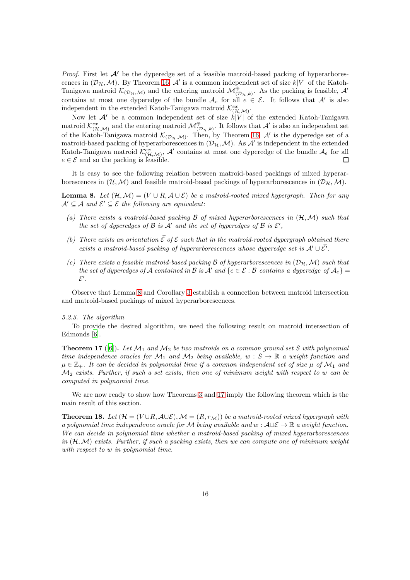*Proof.* First let  $\mathcal{A}'$  be the dyperedge set of a feasible matroid-based packing of hyperarborescences in  $(\mathcal{D}_{\mathcal{H}},\mathcal{M})$ . By Theorem [16,](#page-14-2)  $\mathcal{A}'$  is a common independent set of size  $k|V|$  of the Katoh-Tanigawa matroid  $\mathcal{K}_{(\mathcal{D}_{\mathcal{H}},\mathcal{M})}$  and the entering matroid  $\mathcal{M}_{(\mathcal{D}_{\mathcal{H}},k)}^{\oplus}$ . As the packing is feasible,  $\mathcal{A}'$ contains at most one dyperedge of the bundle  $A_e$  for all  $e \in \mathcal{E}$ . It follows that A' is also independent in the extended Katoh-Tanigawa matroid  $\mathcal{K}_{(\mathcal{H},\mathcal{M})}^{ex}$ .

Now let  $\mathcal{A}'$  be a common independent set of size  $k|V|$  of the extended Katoh-Tanigawa matroid  $\mathcal{K}^{ex}_{(\mathcal{H},\mathcal{M})}$  and the entering matroid  $\mathcal{M}^{\oplus}_{(\mathcal{D}_{\mathcal{H}},k)}$ . It follows that  $\mathcal{A}'$  is also an independent set of the Katoh-Tanigawa matroid  $\mathcal{K}_{(\mathcal{D}_{\mathcal{H}},\mathcal{M})}$ . Then, by Theorem [16,](#page-14-2) A' is the dyperedge set of a matroid-based packing of hyperarborescences in  $(\mathcal{D}_{\mathcal{H}},\mathcal{M})$ . As  $\mathcal{A}'$  is independent in the extended Katoh-Tanigawa matroid  $\mathcal{K}_{(\mathcal{H},\mathcal{M})}^{ex}$ ,  $\mathcal{A}'$  contains at most one dyperedge of the bundle  $\mathcal{A}_e$  for all  $e \in \mathcal{E}$  and so the packing is feasible.  $\Box$ 

It is easy to see the following relation between matroid-based packings of mixed hyperarborescences in  $(\mathcal{H}, \mathcal{M})$  and feasible matroid-based packings of hyperarborescences in  $(\mathcal{D}_{\mathcal{H}}, \mathcal{M})$ .

<span id="page-15-0"></span>**Lemma 8.** Let  $(\mathcal{H}, \mathcal{M}) = (V \cup R, \mathcal{A} \cup \mathcal{E})$  be a matroid-rooted mixed hypergraph. Then for any  $\mathcal{A}' \subseteq \mathcal{A}$  and  $\mathcal{E}' \subseteq \mathcal{E}$  the following are equivalent:

- *(a) There exists a matroid-based packing* B *of mixed hyperarborescences in* (H,M) *such that the set of dyperedges of*  $\mathcal B$  *is*  $\mathcal A'$  *and the set of hyperedges of*  $\mathcal B$  *is*  $\mathcal E'$ ,
- *(b)* There exists an orientation  $\vec{\mathcal{E}}$  of  $\mathcal{E}$  such that in the matroid-rooted dypergraph obtained there *exists a matroid-based packing of hyperarborescences whose dyperedge set is*  $A' \cup \overrightarrow{\mathcal{E}}'$ .
- *(c)* There exists a feasible matroid-based packing  $\beta$  of hyperarborescences in  $(\mathcal{D}_{\mathcal{H}}, \mathcal{M})$  such that *the set of dyperedges of* A *contained in* B *is* A' and  $\{e \in \mathcal{E} : \mathcal{B}$  *contains a dyperedge of*  $A_e\}$  $\mathcal{E}^{\prime}$  .

Observe that Lemma [8](#page-15-0) and Corollary [3](#page-14-3) establish a connection between matroid intersection and matroid-based packings of mixed hyperarborescences.

# *5.2.3. The algorithm*

To provide the desired algorithm, we need the following result on matroid intersection of Edmonds [\[6](#page-18-5)].

<span id="page-15-1"></span>**Theorem 17** ([\[6](#page-18-5)]). Let  $\mathcal{M}_1$  and  $\mathcal{M}_2$  be two matroids on a common ground set S with polynomial *time independence oracles for*  $M_1$  *and*  $M_2$  *being available,*  $w : S \to \mathbb{R}$  *a weight function and*  $\mu \in \mathbb{Z}_+$ . It can be decided in polynomial time if a common independent set of size  $\mu$  of  $\mathcal{M}_1$  and M<sup>2</sup> *exists. Further, if such a set exists, then one of minimum weight with respect to* w *can be computed in polynomial time.*

We are now ready to show how Theorems [3](#page-14-3) and [17](#page-15-1) imply the following theorem which is the main result of this section.

<span id="page-15-2"></span>**Theorem 18.** Let  $(\mathcal{H} = (V \cup R, \mathcal{A} \cup \mathcal{E}), \mathcal{M} = (R, r_{\mathcal{M}}))$  be a matroid-rooted mixed hypergraph with *a polynomial time independence oracle for* M *being available and*  $w : \mathcal{A} \cup \mathcal{E} \to \mathbb{R}$  *a weight function. We can decide in polynomial time whether a matroid-based packing of mixed hyperarborescences in* (H,M) *exists. Further, if such a packing exists, then we can compute one of minimum weight with respect to* w *in polynomial time.*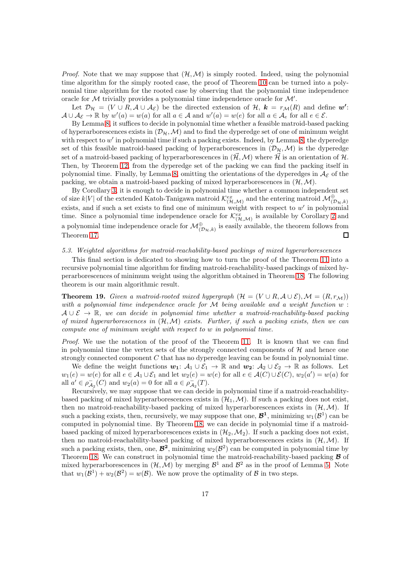*Proof.* Note that we may suppose that  $(H, \mathcal{M})$  is simply rooted. Indeed, using the polynomial time algorithm for the simply rooted case, the proof of Theorem [10](#page-6-3) can be turned into a polynomial time algorithm for the rooted case by observing that the polynomial time independence oracle for  $M$  trivially provides a polynomial time independence oracle for  $M'$ .

Let  $\mathcal{D}_{\mathcal{H}} = (V \cup R, \mathcal{A} \cup \mathcal{A}_{\mathcal{E}})$  be the directed extension of  $\mathcal{H}, k = r_{\mathcal{M}}(R)$  and define  $w'$ :  $\mathcal{A} \cup \mathcal{A}_{\mathcal{E}} \to \mathbb{R}$  by  $w'(a) = w(a)$  for all  $a \in \mathcal{A}$  and  $w'(a) = w(e)$  for all  $a \in \mathcal{A}_e$  for all  $e \in \mathcal{E}$ .

By Lemma [8,](#page-15-0) it suffices to decide in polynomial time whether a feasible matroid-based packing of hyperarborescences exists in  $(\mathcal{D}_{\mathcal{H}},\mathcal{M})$  and to find the dyperedge set of one of minimum weight with respect to w' in polynomial time if such a packing exists. Indeed, by Lemma [8,](#page-15-0) the dyperedge set of this feasible matroid-based packing of hyperarborescences in  $(\mathcal{D}_{\mathcal{H}},\mathcal{M})$  is the dyperedge set of a matroid-based packing of hyperarborescences in  $(\vec{\mathcal{H}},\mathcal{M})$  where  $\vec{\mathcal{H}}$  is an orientation of  $\mathcal{H}$ . Then, by Theorem [12,](#page-13-3) from the dyperedge set of the packing we can find the packing itself in polynomial time. Finally, by Lemma [8,](#page-15-0) omitting the orientations of the dyperedges in  $\mathcal{A}_{\mathcal{E}}$  of the packing, we obtain a matroid-based packing of mixed hyperarborescences in  $(\mathcal{H}, \mathcal{M})$ .

By Corollary [3,](#page-14-3) it is enough to decide in polynomial time whether a common independent set of size  $k|V|$  of the extended Katoh-Tanigawa matroid  $\mathcal{K}^{ex}_{(\mathcal{H},\mathcal{M})}$  and the entering matroid  $\mathcal{M}^{\oplus}_{(\mathcal{D}_{\mathcal{H}},k)}$ exists, and if such a set exists to find one of minimum weight with respect to  $w'$  in polynomial time. Since a polynomial time independence oracle for  $\mathcal{K}_{(\mathcal{H},\mathcal{M})}^{ex}$  is available by Corollary [2](#page-14-4) and a polynomial time independence oracle for  $\mathcal{M}^{\oplus}_{(\mathcal{D}_{\mathcal{H}},k)}$  is easily available, the theorem follows from  $\Box$ Theorem [17.](#page-15-1)

### <span id="page-16-0"></span>*5.3. Weighted algorithms for matroid-reachability-based packings of mixed hyperarborescences*

This final section is dedicated to showing how to turn the proof of the Theorem [11](#page-7-1) into a recursive polynomial time algorithm for finding matroid-reachability-based packings of mixed hyperarborescences of minimum weight using the algorithm obtained in Theorem [18.](#page-15-2) The following theorem is our main algorithmic result.

**Theorem 19.** *Given a matroid-rooted mixed hypergraph*  $(\mathcal{H} = (V \cup R, \mathcal{A} \cup \mathcal{E}), \mathcal{M} = (R, r_{\mathcal{M}}))$ *with a polynomial time independence oracle for* M *being available and a weight function* w :  $A \cup \mathcal{E} \rightarrow \mathbb{R}$ , we can decide in polynomial time whether a matroid-reachability-based packing *of mixed hyperarborescences in* (H,M) *exists. Further, if such a packing exists, then we can compute one of minimum weight with respect to* w *in polynomial time.*

*Proof.* We use the notation of the proof of the Theorem [11.](#page-7-1) It is known that we can find in polynomial time the vertex sets of the strongly connected components of  $H$  and hence one strongly connected component  $C$  that has no dyperedge leaving can be found in polynomial time.

We define the weight functions  $w_1: \mathcal{A}_1 \cup \mathcal{E}_1 \to \mathbb{R}$  and  $w_2: \mathcal{A}_2 \cup \mathcal{E}_2 \to \mathbb{R}$  as follows. Let  $w_1(e) = w(e)$  for all  $e \in A_1 \cup \mathcal{E}_1$  and let  $w_2(e) = w(e)$  for all  $e \in \mathcal{A}(C) \cup \mathcal{E}(C), w_2(a') = w(a)$  for all  $a' \in \rho_{\mathcal{A}_2}^-(C)$  and  $w_2(a) = 0$  for all  $a \in \rho_{\mathcal{A}_2}^-(T)$ .

Recursively, we may suppose that we can decide in polynomial time if a matroid-reachabilitybased packing of mixed hyperarborescences exists in  $(\mathcal{H}_1, \mathcal{M})$ . If such a packing does not exist, then no matroid-reachability-based packing of mixed hyperarborescences exists in  $(\mathcal{H}, \mathcal{M})$ . If such a packing exists, then, recursively, we may suppose that one,  $\mathcal{B}^1$ , minimizing  $w_1(\mathcal{B}^1)$  can be computed in polynomial time. By Theorem [18,](#page-15-2) we can decide in polynomial time if a matroidbased packing of mixed hyperarborescences exists in  $(\mathcal{H}_2,\mathcal{M}_2)$ . If such a packing does not exist, then no matroid-reachability-based packing of mixed hyperarborescences exists in  $(\mathcal{H}, \mathcal{M})$ . If such a packing exists, then, one,  $\mathcal{B}^2$ , minimizing  $w_2(\mathcal{B}^2)$  can be computed in polynomial time by Theorem [18.](#page-15-2) We can construct in polynomial time the matroid-reachability-based packing  $\mathcal{B}$  of mixed hyperarborescences in  $(\mathcal{H}, \mathcal{M})$  by merging  $\mathcal{B}^1$  and  $\mathcal{B}^2$  as in the proof of Lemma [5.](#page-12-1) Note that  $w_1(\mathcal{B}^1) + w_2(\mathcal{B}^2) = w(\mathcal{B})$ . We now prove the optimality of  $\mathcal B$  in two steps.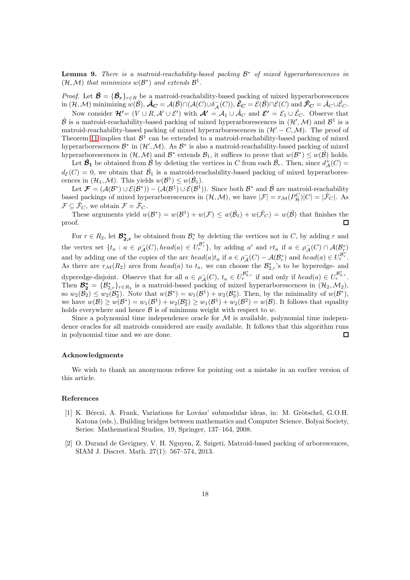Lemma 9. *There is a matroid-reachability-based packing* B <sup>∗</sup> *of mixed hyperarborescences in*  $(\mathcal{H}, \mathcal{M})$  *that minimizes*  $w(\mathcal{B}^*)$  *and extends*  $\mathcal{B}^1$ *.* 

*Proof.* Let  $\hat{\mathcal{B}} = {\hat{\mathcal{B}}_r}_{r \in R}$  be a matroid-reachability-based packing of mixed hyperarborescences in  $(\mathcal{H},\mathcal{M})$  minimizing  $w(\hat{\mathcal{B}}), \hat{\mathcal{A}}_C = \mathcal{A}(\hat{\mathcal{B}}) \cap (\mathcal{A}(C) \cup \delta_{\mathcal{A}}^-(C)), \hat{\mathcal{E}}_C = \mathcal{E}(\hat{\mathcal{B}}) \cap \mathcal{E}(C)$  and  $\hat{\mathcal{F}}_C = \hat{\mathcal{A}}_C \cup \hat{\mathcal{E}}_C$ .

Now consider  $\mathcal{H}' = (V \cup R, \mathcal{A}' \cup \mathcal{E}')$  with  $\mathcal{A}' = \mathcal{A}_1 \cup \hat{\mathcal{A}}_C$  and  $\mathcal{E}' = \mathcal{E}_1 \cup \hat{\mathcal{E}}_C$ . Observe that  $\hat{\mathcal{B}}$  is a matroid-reachability-based packing of mixed hyperarborescences in  $(\mathcal{H}',\mathcal{M})$  and  $\mathcal{B}^1$  is a matroid-reachability-based packing of mixed hyperarborescences in  $(\mathcal{H}' - C, \mathcal{M})$ . The proof of Theorem [11](#page-7-1) implies that  $\mathcal{B}^1$  can be extended to a matroid-reachability-based packing of mixed hyperarborescences  $\mathcal{B}^*$  in  $(\mathcal{H}',\mathcal{M})$ . As  $\mathcal{B}^*$  is also a matroid-reachability-based packing of mixed hyperarborescences in  $(\mathcal{H}, \mathcal{M})$  and  $\mathcal{B}^*$  extends  $\mathcal{B}_1$ , it suffices to prove that  $w(\mathcal{B}^*) \leq w(\hat{\mathcal{B}})$  holds.

Let  $\mathcal{B}_1$  be obtained from  $\hat{\beta}$  by deleting the vertices in C from each  $\hat{\beta}_r$ . Then, since  $d^+(\mathcal{C})$  =  $d_{\mathcal{E}}(C) = 0$ , we obtain that  $\hat{\mathcal{B}}_1$  is a matroid-reachability-based packing of mixed hyperarborescences in  $(\mathcal{H}_1, \mathcal{M})$ . This yields  $w(\mathcal{B}^1) \leq w(\hat{\mathcal{B}}_1)$ .

Let  $\mathcal{F} = (\mathcal{A}(\mathcal{B}^*) \cup \mathcal{E}(\mathcal{B}^*)) - (\mathcal{A}(\mathcal{B}^1) \cup \mathcal{E}(\mathcal{B}^1)).$  Since both  $\mathcal{B}^*$  and  $\hat{\mathcal{B}}$  are matroid-reachability based packings of mixed hyperarborescences in  $(\mathcal{H}, \mathcal{M})$ , we have  $|\mathcal{F}| = r_{\mathcal{M}}(P_{\mathcal{H}}^C)|C| = |\mathcal{F}_C|$ . As  $\mathcal{F} \subseteq \hat{\mathcal{F}}_C$ , we obtain  $\mathcal{F} = \hat{\mathcal{F}}_C$ .

These arguments yield  $w(\mathcal{B}^*) = w(\mathcal{B}^1) + w(\mathcal{F}) \leq w(\hat{\mathcal{B}}_1) + w(\hat{\mathcal{F}}_C) = w(\hat{\mathcal{B}})$  that finishes the proof.  $\Box$ 

For  $r \in R_2$ , let  $\mathcal{B}_{2,r}^*$  be obtained from  $\mathcal{B}_r^*$  by deleting the vertices not in C, by adding r and the vertex set  $\{t_a : a \in \rho_{\mathcal{A}}(C), head(a) \in U_r^{\mathcal{B}^*_{r}}\}$ , by adding a' and  $rt_a$  if  $a \in \rho_{\mathcal{A}}(C) \cap \mathcal{A}(\mathcal{B}^*_{r})$ and by adding one of the copies of the arc  $head(a)t_a$  if  $a \in \rho_{\mathcal{A}}^-(C) - \mathcal{A}(\mathcal{B}_r^*)$  and  $head(a) \in U_r^{\mathcal{B}_r^*}$ . As there are  $r_{\mathcal{M}}(R_2)$  arcs from  $head(a)$  to  $t_a$ , we can choose the  $\mathcal{B}_{2,r}^*$ 's to be hyperedge- and dyperedge-disjoint. Observe that for all  $a \in \rho_A^-(C)$ ,  $t_a \in U_r^{\mathcal{B}_{2,r}^*}$  if and only if  $head(a) \in U_r^{\mathcal{B}_{2,r}^*}$ . Then  $\mathcal{B}_2^* = {\mathcal{B}_{2,r}^*}_{r \in R_2}$  is a matroid-based packing of mixed hyperarborescences in  $(\mathcal{H}_2, \mathcal{M}_2)$ , so  $w_2(\mathcal{B}_2) \leq w_2(\mathcal{B}_2^*)$ . Note that  $w(\mathcal{B}^*) = w_1(\mathcal{B}^1) + w_2(\mathcal{B}_2^*)$ . Then, by the minimality of  $w(\mathcal{B}^*)$ , we have  $w(\mathcal{B}) \ge w(\mathcal{B}^*) = w_1(\mathcal{B}^1) + w_2(\mathcal{B}_2^*) \ge w_1(\mathcal{B}^1) + w_2(\mathcal{B}^2) = w(\mathcal{B})$ . It follows that equality holds everywhere and hence  $\beta$  is of minimum weight with respect to w.

Since a polynomial time independence oracle for  $\mathcal M$  is available, polynomial time independence oracles for all matroids considered are easily available. It follows that this algorithm runs in polynomial time and we are done.  $\Box$ 

#### Acknowledgments

We wish to thank an anonymous referee for pointing out a mistake in an earlier version of this article.

### References

- <span id="page-17-1"></span>[1] K. Bérczi, A. Frank, Variations for Lovász' submodular ideas, in: M. Grötschel, G.O.H. Katona (eds.), Building bridges between mathematics and Computer Science, Bolyai Society, Series: Mathematical Studies, 19, Springer, 137–164, 2008.
- <span id="page-17-0"></span>[2] O. Durand de Gevigney, V. H. Nguyen, Z. Szigeti, Matroid-based packing of arborescences, SIAM J. Discret. Math. 27(1): 567–574, 2013.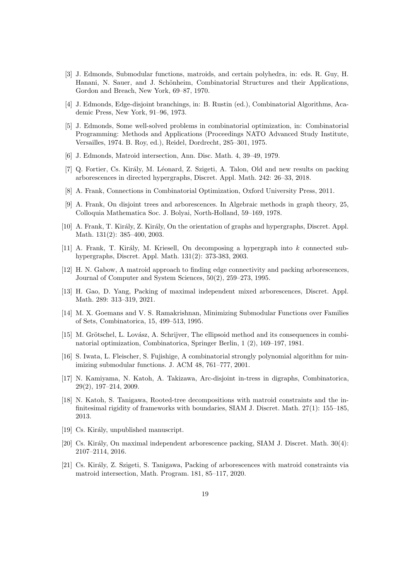- <span id="page-18-15"></span>[3] J. Edmonds, Submodular functions, matroids, and certain polyhedra, in: eds. R. Guy, H. Hanani, N. Sauer, and J. Schönheim, Combinatorial Structures and their Applications, Gordon and Breach, New York, 69–87, 1970.
- <span id="page-18-0"></span>[4] J. Edmonds, Edge-disjoint branchings, in: B. Rustin (ed.), Combinatorial Algorithms, Academic Press, New York, 91–96, 1973.
- <span id="page-18-6"></span>[5] J. Edmonds, Some well-solved problems in combinatorial optimization, in: Combinatorial Programming: Methods and Applications (Proceedings NATO Advanced Study Institute, Versailles, 1974. B. Roy, ed.), Reidel, Dordrecht, 285–301, 1975.
- <span id="page-18-5"></span>[6] J. Edmonds, Matroid intersection, Ann. Disc. Math. 4, 39–49, 1979.
- <span id="page-18-3"></span>[7] Q. Fortier, Cs. Király, M. Léonard, Z. Szigeti, A. Talon, Old and new results on packing arborescences in directed hypergraphs, Discret. Appl. Math. 242: 26–33, 2018.
- <span id="page-18-9"></span>[8] A. Frank, Connections in Combinatorial Optimization, Oxford University Press, 2011.
- <span id="page-18-11"></span>[9] A. Frank, On disjoint trees and arborescences. In Algebraic methods in graph theory, 25, Colloquia Mathematica Soc. J. Bolyai, North-Holland, 59–169, 1978.
- <span id="page-18-10"></span>[10] A. Frank, T. Király, Z. Király, On the orientation of graphs and hypergraphs, Discret. Appl. Math. 131(2): 385–400, 2003.
- <span id="page-18-14"></span> $[11]$  A. Frank, T. Király, M. Kriesell, On decomposing a hypergraph into k connected subhypergraphs, Discret. Appl. Math. 131(2): 373-383, 2003.
- <span id="page-18-12"></span>[12] H. N. Gabow, A matroid approach to finding edge connectivity and packing arborescences, Journal of Computer and System Sciences, 50(2), 259–273, 1995.
- <span id="page-18-4"></span>[13] H. Gao, D. Yang, Packing of maximal independent mixed arborescences, Discret. Appl. Math. 289: 313–319, 2021.
- <span id="page-18-18"></span>[14] M. X. Goemans and V. S. Ramakrishnan, Minimizing Submodular Functions over Families of Sets, Combinatorica, 15, 499–513, 1995.
- <span id="page-18-16"></span>[15] M. Grötschel, L. Lovász, A. Schrijver, The ellipsoid method and its consequences in combinatorial optimization, Combinatorica, Springer Berlin, 1 (2), 169–197, 1981.
- <span id="page-18-17"></span>[16] S. Iwata, L. Fleischer, S. Fujishige, A combinatorial strongly polynomial algorithm for minimizing submodular functions. J. ACM 48, 761–777, 2001.
- <span id="page-18-1"></span>[17] N. Kamiyama, N. Katoh, A. Takizawa, Arc-disjoint in-tress in digraphs, Combinatorica, 29(2), 197–214, 2009.
- <span id="page-18-13"></span>[18] N. Katoh, S. Tanigawa, Rooted-tree decompositions with matroid constraints and the infinitesimal rigidity of frameworks with boundaries, SIAM J. Discret. Math. 27(1): 155–185, 2013.
- <span id="page-18-8"></span>[19] Cs. Király, unpublished manuscript.
- <span id="page-18-2"></span>[20] Cs. Király, On maximal independent arborescence packing, SIAM J. Discret. Math. 30(4): 2107–2114, 2016.
- <span id="page-18-7"></span>[21] Cs. Király, Z. Szigeti, S. Tanigawa, Packing of arborescences with matroid constraints via matroid intersection, Math. Program. 181, 85–117, 2020.